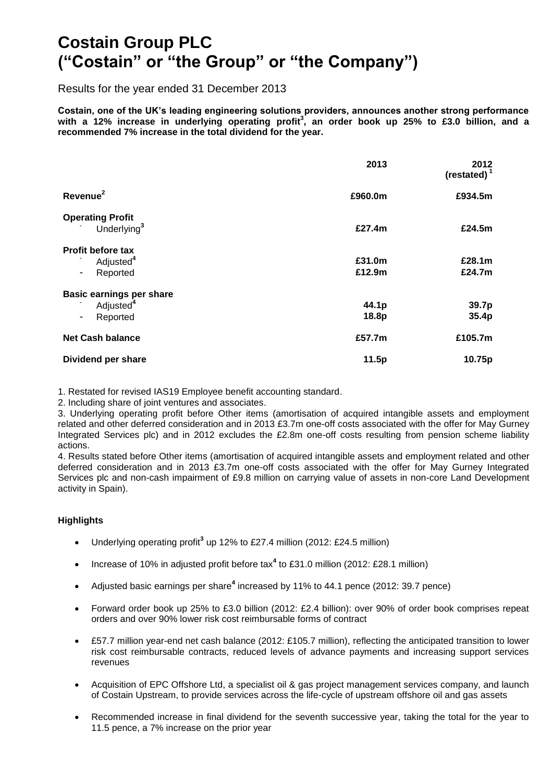# **Costain Group PLC ("Costain" or "the Group" or "the Company")**

Results for the year ended 31 December 2013

**Costain, one of the UK's leading engineering solutions providers, announces another strong performance with a 12% increase in underlying operating profit<sup>3</sup> , an order book up 25% to £3.0 billion, and a recommended 7% increase in the total dividend for the year.** 

|                                 | 2013    | 2012<br>(restated) $1$ |
|---------------------------------|---------|------------------------|
| Revenue <sup>2</sup>            | £960.0m | £934.5m                |
| <b>Operating Profit</b>         |         |                        |
| Underlying <sup>3</sup>         | £27.4m  | £24.5m                 |
| Profit before tax               |         |                        |
| Adjusted <sup>4</sup>           | £31.0m  | £28.1m                 |
| Reported                        | £12.9m  | £24.7m                 |
| <b>Basic earnings per share</b> |         |                        |
| Adjusted <sup>4</sup>           | 44.1p   | 39.7p                  |
| Reported                        | 18.8p   | 35.4p                  |
| <b>Net Cash balance</b>         | £57.7m  | £105.7m                |
| Dividend per share              | 11.5p   | 10.75p                 |

1. Restated for revised IAS19 Employee benefit accounting standard.

2. Including share of joint ventures and associates.

3. Underlying operating profit before Other items (amortisation of acquired intangible assets and employment related and other deferred consideration and in 2013 £3.7m one-off costs associated with the offer for May Gurney Integrated Services plc) and in 2012 excludes the £2.8m one-off costs resulting from pension scheme liability actions.

4. Results stated before Other items (amortisation of acquired intangible assets and employment related and other deferred consideration and in 2013 £3.7m one-off costs associated with the offer for May Gurney Integrated Services plc and non-cash impairment of £9.8 million on carrying value of assets in non-core Land Development activity in Spain).

#### **Highlights**

- Underlying operating profit<sup>3</sup> up 12% to £27.4 million (2012: £24.5 million)
- Increase of 10% in adjusted profit before tax<sup>4</sup> to £31.0 million (2012: £28.1 million)
- Adjusted basic earnings per share**<sup>4</sup>** increased by 11% to 44.1 pence (2012: 39.7 pence)
- Forward order book up 25% to £3.0 billion (2012: £2.4 billion): over 90% of order book comprises repeat orders and over 90% lower risk cost reimbursable forms of contract
- £57.7 million year-end net cash balance (2012: £105.7 million), reflecting the anticipated transition to lower risk cost reimbursable contracts, reduced levels of advance payments and increasing support services revenues
- Acquisition of EPC Offshore Ltd, a specialist oil & gas project management services company, and launch of Costain Upstream, to provide services across the life-cycle of upstream offshore oil and gas assets
- Recommended increase in final dividend for the seventh successive year, taking the total for the year to 11.5 pence, a 7% increase on the prior year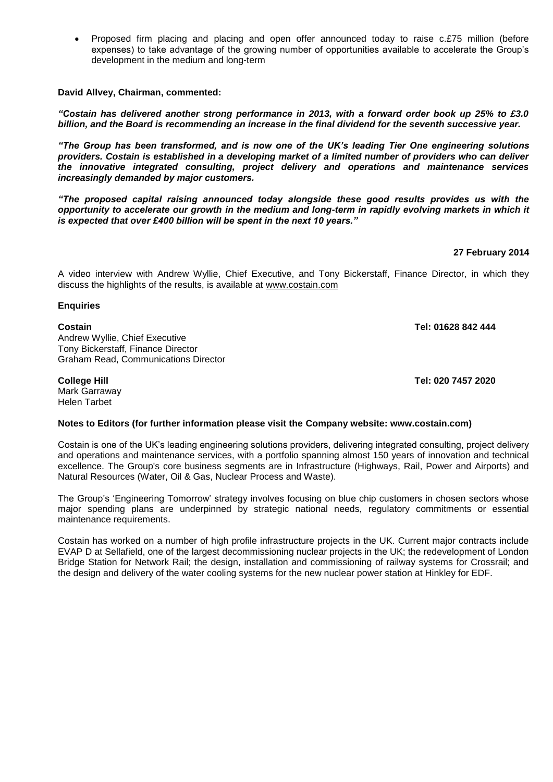Proposed firm placing and placing and open offer announced today to raise c.£75 million (before expenses) to take advantage of the growing number of opportunities available to accelerate the Group's development in the medium and long-term

**David Allvey, Chairman, commented:** 

*"Costain has delivered another strong performance in 2013, with a forward order book up 25% to £3.0 billion, and the Board is recommending an increase in the final dividend for the seventh successive year.*

*"The Group has been transformed, and is now one of the UK's leading Tier One engineering solutions providers. Costain is established in a developing market of a limited number of providers who can deliver the innovative integrated consulting, project delivery and operations and maintenance services increasingly demanded by major customers.* 

*"The proposed capital raising announced today alongside these good results provides us with the opportunity to accelerate our growth in the medium and long-term in rapidly evolving markets in which it is expected that over £400 billion will be spent in the next 10 years."*

#### **27 February 2014**

A video interview with Andrew Wyllie, Chief Executive, and Tony Bickerstaff, Finance Director, in which they discuss the highlights of the results, is available at [www.costain.com](http://www.costain.com/)

**Enquiries**

#### **Costain Tel: 01628 842 444**

Andrew Wyllie, Chief Executive Tony Bickerstaff, Finance Director Graham Read, Communications Director

Mark Garraway Helen Tarbet

**College Hill Tel: 020 7457 2020**

#### **Notes to Editors (for further information please visit the Company website: [www.costain.com\)](http://www.poseidonplc.com/)**

Costain is one of the UK's leading engineering solutions providers, delivering integrated consulting, project delivery and operations and maintenance services, with a portfolio spanning almost 150 years of innovation and technical excellence. The Group's core business segments are in Infrastructure (Highways, Rail, Power and Airports) and Natural Resources (Water, Oil & Gas, Nuclear Process and Waste).

The Group's 'Engineering Tomorrow' strategy involves focusing on blue chip customers in chosen sectors whose major spending plans are underpinned by strategic national needs, regulatory commitments or essential maintenance requirements.

Costain has worked on a number of high profile infrastructure projects in the UK. Current major contracts include EVAP D at Sellafield, one of the largest decommissioning nuclear projects in the UK; the redevelopment of London Bridge Station for Network Rail; the design, installation and commissioning of railway systems for Crossrail; and the design and delivery of the water cooling systems for the new nuclear power station at Hinkley for EDF.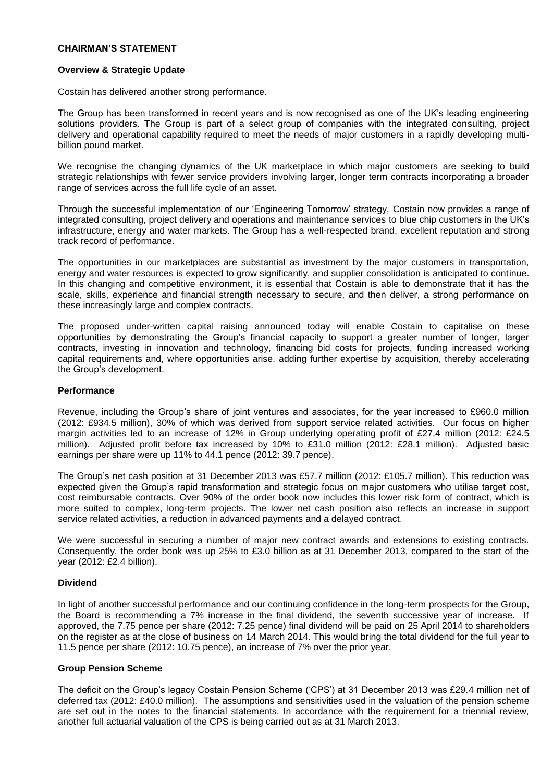#### **CHAIRMAN'S STATEMENT**

#### **Overview & Strategic Update**

Costain has delivered another strong performance.

The Group has been transformed in recent years and is now recognised as one of the UK's leading engineering solutions providers. The Group is part of a select group of companies with the integrated consulting, project delivery and operational capability required to meet the needs of major customers in a rapidly developing multibillion pound market.

We recognise the changing dynamics of the UK marketplace in which major customers are seeking to build strategic relationships with fewer service providers involving larger, longer term contracts incorporating a broader range of services across the full life cycle of an asset.

Through the successful implementation of our 'Engineering Tomorrow' strategy, Costain now provides a range of integrated consulting, project delivery and operations and maintenance services to blue chip customers in the UK's infrastructure, energy and water markets. The Group has a well-respected brand, excellent reputation and strong track record of performance.

The opportunities in our marketplaces are substantial as investment by the major customers in transportation, energy and water resources is expected to grow significantly, and supplier consolidation is anticipated to continue. In this changing and competitive environment, it is essential that Costain is able to demonstrate that it has the scale, skills, experience and financial strength necessary to secure, and then deliver, a strong performance on these increasingly large and complex contracts.

The proposed under-written capital raising announced today will enable Costain to capitalise on these opportunities by demonstrating the Group's financial capacity to support a greater number of longer, larger contracts, investing in innovation and technology, financing bid costs for projects, funding increased working capital requirements and, where opportunities arise, adding further expertise by acquisition, thereby accelerating the Group's development.

#### **Performance**

Revenue, including the Group's share of joint ventures and associates, for the year increased to £960.0 million (2012: £934.5 million), 30% of which was derived from support service related activities. Our focus on higher margin activities led to an increase of 12% in Group underlying operating profit of £27.4 million (2012: £24.5 million). Adjusted profit before tax increased by 10% to £31.0 million (2012: £28.1 million). Adjusted basic earnings per share were up 11% to 44.1 pence (2012: 39.7 pence).

The Group's net cash position at 31 December 2013 was £57.7 million (2012: £105.7 million). This reduction was expected given the Group's rapid transformation and strategic focus on major customers who utilise target cost, cost reimbursable contracts. Over 90% of the order book now includes this lower risk form of contract, which is more suited to complex, long-term projects. The lower net cash position also reflects an increase in support service related activities, a reduction in advanced payments and a delayed contract.

We were successful in securing a number of major new contract awards and extensions to existing contracts. Consequently, the order book was up 25% to £3.0 billion as at 31 December 2013, compared to the start of the year (2012: £2.4 billion).

#### **Dividend**

In light of another successful performance and our continuing confidence in the long-term prospects for the Group, the Board is recommending a 7% increase in the final dividend, the seventh successive year of increase. If approved, the 7.75 pence per share (2012: 7.25 pence) final dividend will be paid on 25 April 2014 to shareholders on the register as at the close of business on 14 March 2014. This would bring the total dividend for the full year to 11.5 pence per share (2012: 10.75 pence), an increase of 7% over the prior year.

#### **Group Pension Scheme**

The deficit on the Group's legacy Costain Pension Scheme ('CPS') at 31 December 2013 was £29.4 million net of deferred tax (2012: £40.0 million). The assumptions and sensitivities used in the valuation of the pension scheme are set out in the notes to the financial statements. In accordance with the requirement for a triennial review, another full actuarial valuation of the CPS is being carried out as at 31 March 2013.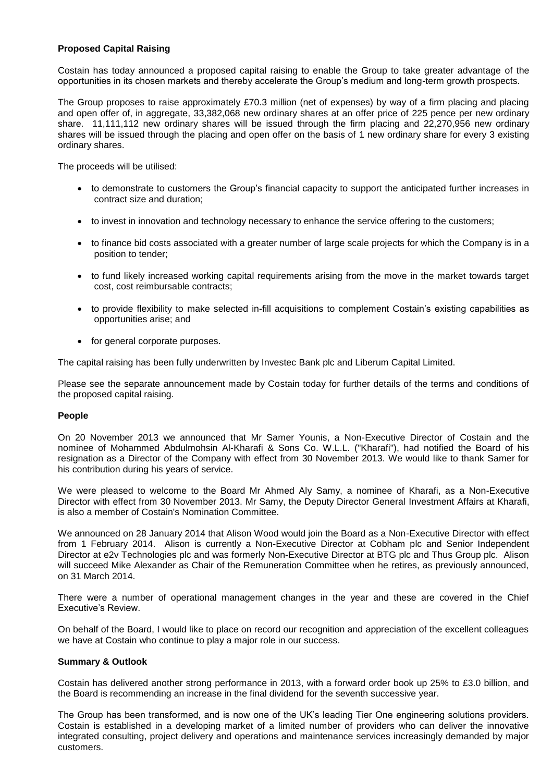#### **Proposed Capital Raising**

Costain has today announced a proposed capital raising to enable the Group to take greater advantage of the opportunities in its chosen markets and thereby accelerate the Group's medium and long-term growth prospects.

The Group proposes to raise approximately £70.3 million (net of expenses) by way of a firm placing and placing and open offer of, in aggregate, 33,382,068 new ordinary shares at an offer price of 225 pence per new ordinary share. 11,111,112 new ordinary shares will be issued through the firm placing and 22,270,956 new ordinary shares will be issued through the placing and open offer on the basis of 1 new ordinary share for every 3 existing ordinary shares.

The proceeds will be utilised:

- to demonstrate to customers the Group's financial capacity to support the anticipated further increases in contract size and duration;
- to invest in innovation and technology necessary to enhance the service offering to the customers;
- to finance bid costs associated with a greater number of large scale projects for which the Company is in a position to tender;
- to fund likely increased working capital requirements arising from the move in the market towards target cost, cost reimbursable contracts;
- to provide flexibility to make selected in-fill acquisitions to complement Costain's existing capabilities as opportunities arise; and
- for general corporate purposes.

The capital raising has been fully underwritten by Investec Bank plc and Liberum Capital Limited.

Please see the separate announcement made by Costain today for further details of the terms and conditions of the proposed capital raising.

#### **People**

On 20 November 2013 we announced that Mr Samer Younis, a Non-Executive Director of Costain and the nominee of Mohammed Abdulmohsin Al-Kharafi & Sons Co. W.L.L. ("Kharafi"), had notified the Board of his resignation as a Director of the Company with effect from 30 November 2013. We would like to thank Samer for his contribution during his years of service.

We were pleased to welcome to the Board Mr Ahmed Aly Samy, a nominee of Kharafi, as a Non-Executive Director with effect from 30 November 2013. Mr Samy, the Deputy Director General [Investment](http://www.investegate.co.uk/costain-group-plc--cost-/rns/board-changes/201311200700074534T/) Affairs at Kharafi, is also a member of Costain's Nomination Committee.

We announced on 28 January 2014 that Alison Wood would join the Board as a Non-Executive Director with effect from 1 February 2014. Alison is currently a Non-Executive Director at Cobham plc and Senior Independent Director at e2v Technologies plc and was formerly Non-Executive Director at BTG plc and Thus Group plc. Alison will succeed Mike Alexander as Chair of the Remuneration Committee when he retires, as previously announced, on 31 March 2014.

There were a number of operational management changes in the year and these are covered in the Chief Executive's Review.

On behalf of the Board, I would like to place on record our recognition and appreciation of the excellent colleagues we have at Costain who continue to play a major role in our success.

#### **Summary & Outlook**

Costain has delivered another strong performance in 2013, with a forward order book up 25% to £3.0 billion, and the Board is recommending an increase in the final dividend for the seventh successive year.

The Group has been transformed, and is now one of the UK's leading Tier One engineering solutions providers. Costain is established in a developing market of a limited number of providers who can deliver the innovative integrated consulting, project delivery and operations and maintenance services increasingly demanded by major customers.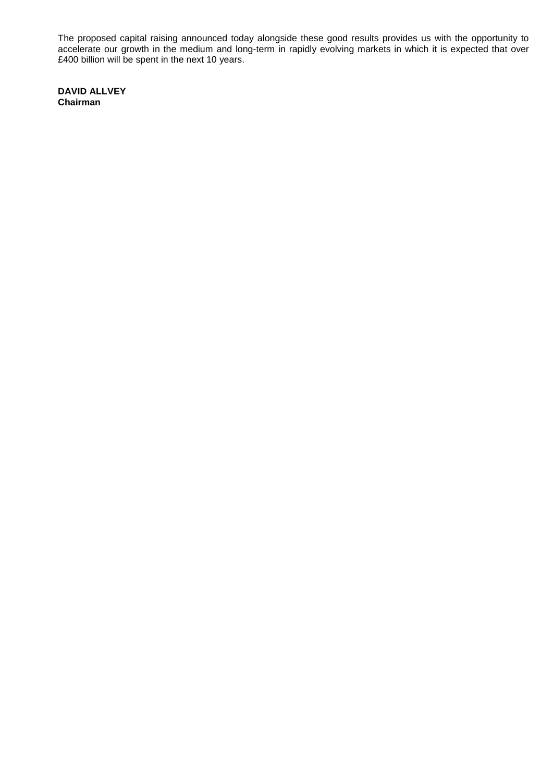The proposed capital raising announced today alongside these good results provides us with the opportunity to accelerate our growth in the medium and long-term in rapidly evolving markets in which it is expected that over £400 billion will be spent in the next 10 years.

**DAVID ALLVEY Chairman**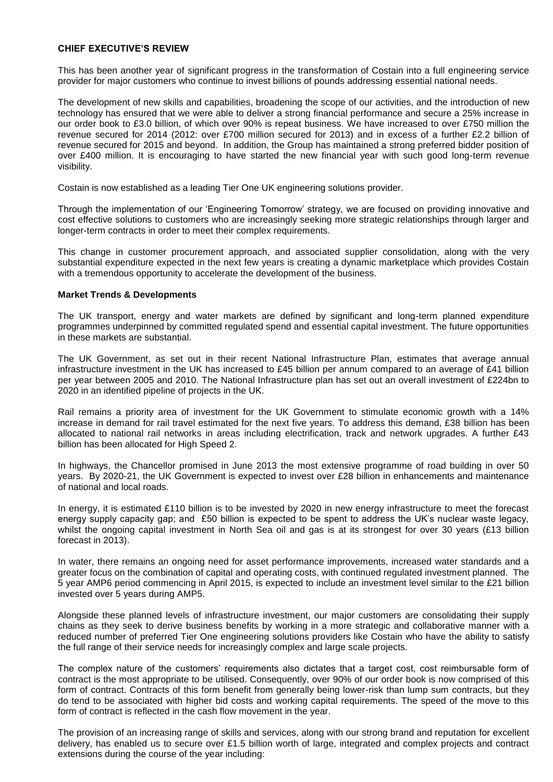#### **CHIEF EXECUTIVE'S REVIEW**

This has been another year of significant progress in the transformation of Costain into a full engineering service provider for major customers who continue to invest billions of pounds addressing essential national needs.

The development of new skills and capabilities, broadening the scope of our activities, and the introduction of new technology has ensured that we were able to deliver a strong financial performance and secure a 25% increase in our order book to £3.0 billion, of which over 90% is repeat business. We have increased to over £750 million the revenue secured for 2014 (2012: over £700 million secured for 2013) and in excess of a further £2.2 billion of revenue secured for 2015 and beyond. In addition, the Group has maintained a strong preferred bidder position of over £400 million. It is encouraging to have started the new financial year with such good long-term revenue visibility.

Costain is now established as a leading Tier One UK engineering solutions provider.

Through the implementation of our 'Engineering Tomorrow' strategy, we are focused on providing innovative and cost effective solutions to customers who are increasingly seeking more strategic relationships through larger and longer-term contracts in order to meet their complex requirements.

This change in customer procurement approach, and associated supplier consolidation, along with the very substantial expenditure expected in the next few years is creating a dynamic marketplace which provides Costain with a tremendous opportunity to accelerate the development of the business.

#### **Market Trends & Developments**

The UK transport, energy and water markets are defined by significant and long-term planned expenditure programmes underpinned by committed regulated spend and essential capital investment. The future opportunities in these markets are substantial.

The UK Government, as set out in their recent National Infrastructure Plan, estimates that average annual infrastructure investment in the UK has increased to £45 billion per annum compared to an average of £41 billion per year between 2005 and 2010. The National Infrastructure plan has set out an overall investment of £224bn to 2020 in an identified pipeline of projects in the UK.

Rail remains a priority area of investment for the UK Government to stimulate economic growth with a 14% increase in demand for rail travel estimated for the next five years. To address this demand, £38 billion has been allocated to national rail networks in areas including electrification, track and network upgrades. A further £43 billion has been allocated for High Speed 2.

In highways, the Chancellor promised in June 2013 the most extensive programme of road building in over 50 years. By 2020-21, the UK Government is expected to invest over £28 billion in enhancements and maintenance of national and local roads.

In energy, it is estimated £110 billion is to be invested by 2020 in new energy infrastructure to meet the forecast energy supply capacity gap; and £50 billion is expected to be spent to address the UK's nuclear waste legacy, whilst the ongoing capital investment in North Sea oil and gas is at its strongest for over 30 years (£13 billion forecast in 2013).

In water, there remains an ongoing need for asset performance improvements, increased water standards and a greater focus on the combination of capital and operating costs, with continued regulated investment planned. The 5 year AMP6 period commencing in April 2015, is expected to include an investment level similar to the £21 billion invested over 5 years during AMP5.

Alongside these planned levels of infrastructure investment, our major customers are consolidating their supply chains as they seek to derive business benefits by working in a more strategic and collaborative manner with a reduced number of preferred Tier One engineering solutions providers like Costain who have the ability to satisfy the full range of their service needs for increasingly complex and large scale projects.

The complex nature of the customers' requirements also dictates that a target cost, cost reimbursable form of contract is the most appropriate to be utilised. Consequently, over 90% of our order book is now comprised of this form of contract. Contracts of this form benefit from generally being lower-risk than lump sum contracts, but they do tend to be associated with higher bid costs and working capital requirements. The speed of the move to this form of contract is reflected in the cash flow movement in the year.

The provision of an increasing range of skills and services, along with our strong brand and reputation for excellent delivery, has enabled us to secure over £1.5 billion worth of large, integrated and complex projects and contract extensions during the course of the year including: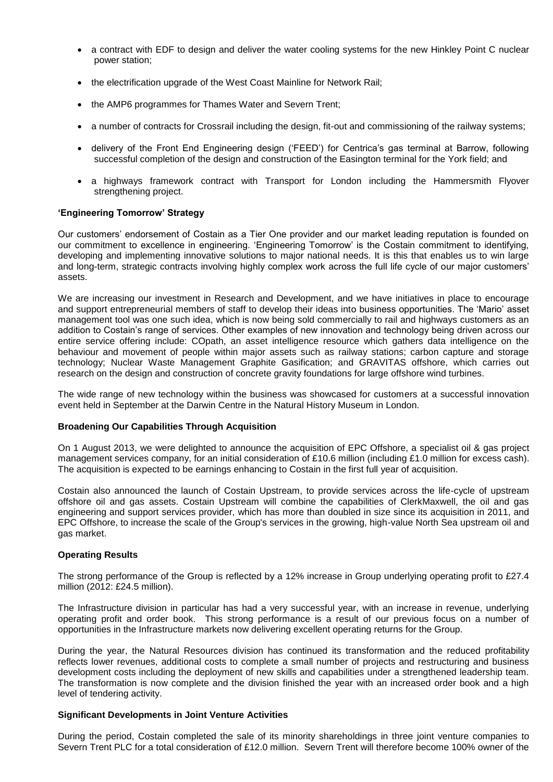- a contract with EDF to design and deliver the water cooling systems for the new Hinkley Point C nuclear power station;
- the electrification upgrade of the West Coast Mainline for Network Rail;
- the AMP6 programmes for Thames Water and Severn Trent;
- a number of contracts for Crossrail including the design, fit-out and commissioning of the railway systems;
- delivery of the Front End Engineering design ('FEED') for Centrica's gas terminal at Barrow, following successful completion of the design and construction of the Easington terminal for the York field; and
- a highways framework contract with Transport for London including the Hammersmith Flyover strengthening project.

#### **'Engineering Tomorrow' Strategy**

Our customers' endorsement of Costain as a Tier One provider and our market leading reputation is founded on our commitment to excellence in engineering. 'Engineering Tomorrow' is the Costain commitment to identifying, developing and implementing innovative solutions to major national needs. It is this that enables us to win large and long-term, strategic contracts involving highly complex work across the full life cycle of our major customers' assets.

We are increasing our investment in Research and Development, and we have initiatives in place to encourage and support entrepreneurial members of staff to develop their ideas into business opportunities. The 'Mario' asset management tool was one such idea, which is now being sold commercially to rail and highways customers as an addition to Costain's range of services. Other examples of new innovation and technology being driven across our entire service offering include: COpath, an asset intelligence resource which gathers data intelligence on the behaviour and movement of people within major assets such as railway stations; carbon capture and storage technology; Nuclear Waste Management Graphite Gasification; and GRAVITAS offshore, which carries out research on the design and construction of concrete gravity foundations for large offshore wind turbines.

The wide range of new technology within the business was showcased for customers at a successful innovation event held in September at the Darwin Centre in the Natural History Museum in London.

#### **Broadening Our Capabilities Through Acquisition**

On 1 August 2013, we were delighted to announce the acquisition of EPC Offshore, a specialist oil & gas project management services company, for an initial consideration of £10.6 million (including £1.0 million for excess cash). The acquisition is expected to be earnings enhancing to Costain in the first full year of acquisition.

Costain also announced the launch of Costain Upstream, to provide services across the life-cycle of upstream offshore oil and gas assets. Costain Upstream will combine the capabilities of ClerkMaxwell, the oil and gas engineering and support services provider, which has more than doubled in size since its acquisition in 2011, and EPC Offshore, to increase the scale of the Group's services in the growing, high-value North Sea upstream oil and gas market.

#### **Operating Results**

The strong performance of the Group is reflected by a 12% increase in Group underlying operating profit to £27.4 million (2012: £24.5 million).

The Infrastructure division in particular has had a very successful year, with an increase in revenue, underlying operating profit and order book. This strong performance is a result of our previous focus on a number of opportunities in the Infrastructure markets now delivering excellent operating returns for the Group.

During the year, the Natural Resources division has continued its transformation and the reduced profitability reflects lower revenues, additional costs to complete a small number of projects and restructuring and business development costs including the deployment of new skills and capabilities under a strengthened leadership team. The transformation is now complete and the division finished the year with an increased order book and a high level of tendering activity.

#### **Significant Developments in Joint Venture Activities**

During the period, Costain completed the sale of its minority shareholdings in three joint venture companies to Severn Trent PLC for a total consideration of £12.0 million. Severn Trent will therefore become 100% owner of the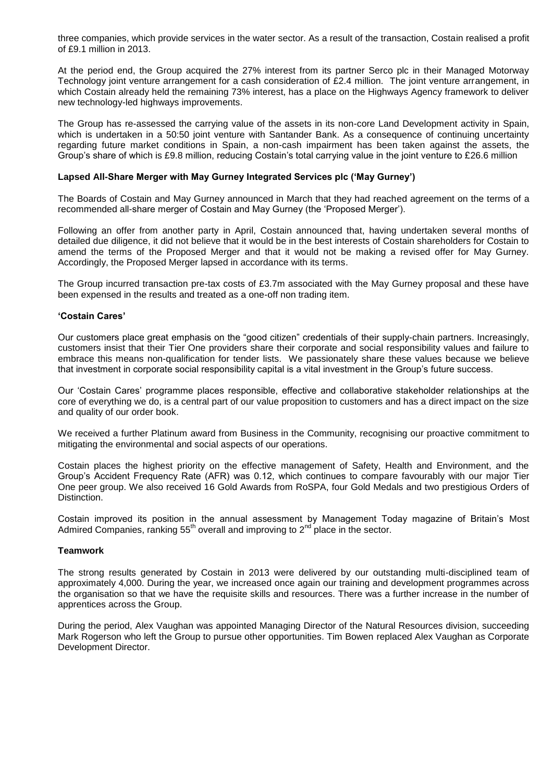three companies, which provide services in the water sector. As a result of the transaction, Costain realised a profit of £9.1 million in 2013.

At the period end, the Group acquired the 27% interest from its partner Serco plc in their Managed Motorway Technology joint venture arrangement for a cash consideration of £2.4 million. The joint venture arrangement, in which Costain already held the remaining 73% interest, has a place on the Highways Agency framework to deliver new technology-led highways improvements.

The Group has re-assessed the carrying value of the assets in its non-core Land Development activity in Spain, which is undertaken in a 50:50 joint venture with Santander Bank. As a consequence of continuing uncertainty regarding future market conditions in Spain, a non-cash impairment has been taken against the assets, the Group's share of which is £9.8 million, reducing Costain's total carrying value in the joint venture to £26.6 million

#### **Lapsed All-Share Merger with May Gurney Integrated Services plc ('May Gurney')**

The Boards of Costain and May Gurney announced in March that they had reached agreement on the terms of a recommended all-share merger of Costain and May Gurney (the 'Proposed Merger').

Following an offer from another party in April, Costain announced that, having undertaken several months of detailed due diligence, it did not believe that it would be in the best interests of Costain shareholders for Costain to amend the terms of the Proposed Merger and that it would not be making a revised offer for May Gurney. Accordingly, the Proposed Merger lapsed in accordance with its terms.

The Group incurred transaction pre-tax costs of £3.7m associated with the May Gurney proposal and these have been expensed in the results and treated as a one-off non trading item.

#### **'Costain Cares'**

Our customers place great emphasis on the "good citizen" credentials of their supply-chain partners. Increasingly, customers insist that their Tier One providers share their corporate and social responsibility values and failure to embrace this means non-qualification for tender lists. We passionately share these values because we believe that investment in corporate social responsibility capital is a vital investment in the Group's future success.

Our 'Costain Cares' programme places responsible, effective and collaborative stakeholder relationships at the core of everything we do, is a central part of our value proposition to customers and has a direct impact on the size and quality of our order book.

We received a further Platinum award from Business in the Community, recognising our proactive commitment to mitigating the environmental and social aspects of our operations.

Costain places the highest priority on the effective management of Safety, Health and Environment, and the Group's Accident Frequency Rate (AFR) was 0.12, which continues to compare favourably with our major Tier One peer group. We also received 16 Gold Awards from RoSPA, four Gold Medals and two prestigious Orders of Distinction.

Costain improved its position in the annual assessment by Management Today magazine of Britain's Most Admired Companies, ranking  $55<sup>th</sup>$  overall and improving to  $2<sup>nd</sup>$  place in the sector.

#### **Teamwork**

The strong results generated by Costain in 2013 were delivered by our outstanding multi-disciplined team of approximately 4,000. During the year, we increased once again our training and development programmes across the organisation so that we have the requisite skills and resources. There was a further increase in the number of apprentices across the Group.

During the period, Alex Vaughan was appointed Managing [Director](http://www.investegate.co.uk/costain-group-plc--cost-/rns/interim-management-statement/201311050700091797S/) of the Natural Resources division, succeeding Mark Rogerson who left the Group to pursue other opportunities. Tim Bowen replaced Alex Vaughan as Corporate Development Director.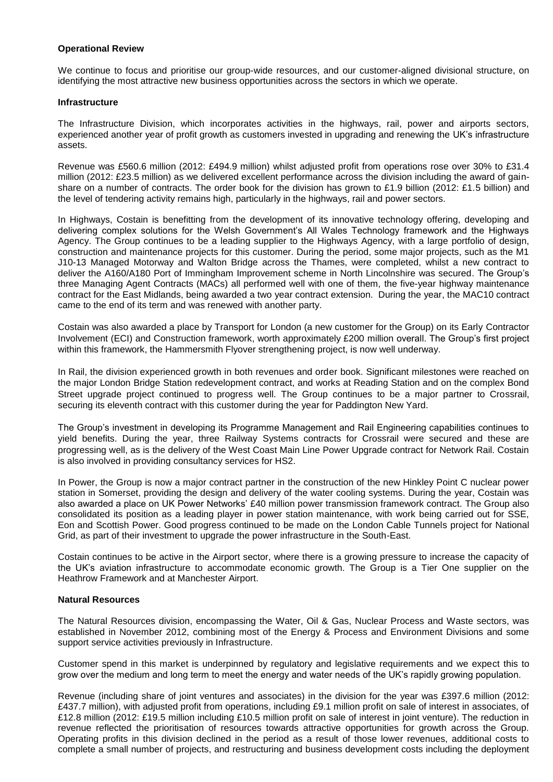#### **Operational Review**

We continue to focus and prioritise our group-wide resources, and our customer-aligned divisional structure, on identifying the most attractive new business opportunities across the sectors in which we operate.

#### **Infrastructure**

The Infrastructure Division, which incorporates activities in the highways, rail, power and airports sectors, experienced another year of profit growth as customers invested in upgrading and renewing the UK's infrastructure assets.

Revenue was £560.6 million (2012: £494.9 million) whilst adjusted profit from operations rose over 30% to £31.4 million (2012: £23.5 million) as we delivered excellent performance across the division including the award of gainshare on a number of contracts. The order book for the division has grown to £1.9 billion (2012: £1.5 billion) and the level of tendering activity remains high, particularly in the highways, rail and power sectors.

In Highways, Costain is benefitting from the development of its innovative technology offering, developing and delivering complex solutions for the Welsh Government's All Wales Technology framework and the Highways Agency. The Group continues to be a leading supplier to the Highways Agency, with a large portfolio of design, construction and maintenance projects for this customer. During the period, some major projects, such as the M1 J10-13 Managed Motorway and Walton Bridge across the Thames, were completed, whilst a new contract to deliver the A160/A180 Port of Immingham Improvement scheme in North Lincolnshire was secured. The Group's three Managing Agent Contracts (MACs) all performed well with one of them, the five-year highway maintenance contract for the East Midlands, being awarded a two year contract extension. During the year, the MAC10 contract came to the end of its term and was renewed with another party.

Costain was also awarded a place by Transport for London (a new customer for the Group) on its Early Contractor Involvement (ECI) and Construction framework, worth approximately £200 million overall. The Group's first project within this framework, the Hammersmith Flyover strengthening project, is now well underway.

In Rail, the division experienced growth in both revenues and order book. Significant milestones were reached on the major London Bridge Station redevelopment contract, and works at Reading Station and on the complex Bond Street upgrade project continued to progress well. The Group continues to be a major partner to Crossrail, securing its eleventh contract with this customer during the year for Paddington New Yard.

The Group's investment in developing its Programme Management and Rail Engineering capabilities continues to yield benefits. During the year, three Railway Systems contracts for Crossrail were secured and these are progressing well, as is the delivery of the West Coast Main Line Power Upgrade contract for Network Rail. Costain is also involved in providing consultancy services for HS2.

In Power, the Group is now a major contract partner in the construction of the new Hinkley Point C nuclear power station in Somerset, providing the design and delivery of the water cooling systems. During the year, Costain was also awarded a place on UK Power Networks' £40 million power transmission framework contract. The Group also consolidated its position as a leading player in power station maintenance, with work being carried out for SSE, Eon and Scottish Power. Good progress continued to be made on the London Cable Tunnels project for National Grid, as part of their investment to upgrade the power infrastructure in the South-East.

Costain continues to be active in the Airport sector, where there is a growing pressure to increase the capacity of the UK's aviation infrastructure to accommodate economic growth. The Group is a Tier One supplier on the Heathrow Framework and at Manchester Airport.

#### **Natural Resources**

The Natural Resources division, encompassing the Water, Oil & Gas, Nuclear Process and Waste sectors, was established in November 2012, combining most of the Energy & Process and Environment Divisions and some support service activities previously in Infrastructure.

Customer spend in this market is underpinned by regulatory and legislative requirements and we expect this to grow over the medium and long term to meet the energy and water needs of the UK's rapidly growing population.

Revenue (including share of joint ventures and associates) in the division for the year was £397.6 million (2012: £437.7 million), with adjusted profit from operations, including £9.1 million profit on sale of interest in associates, of £12.8 million (2012: £19.5 million including £10.5 million profit on sale of interest in joint venture). The reduction in revenue reflected the prioritisation of resources towards attractive opportunities for growth across the Group. Operating profits in this division declined in the period as a result of those lower revenues, additional costs to complete a small number of projects, and restructuring and business development costs including the deployment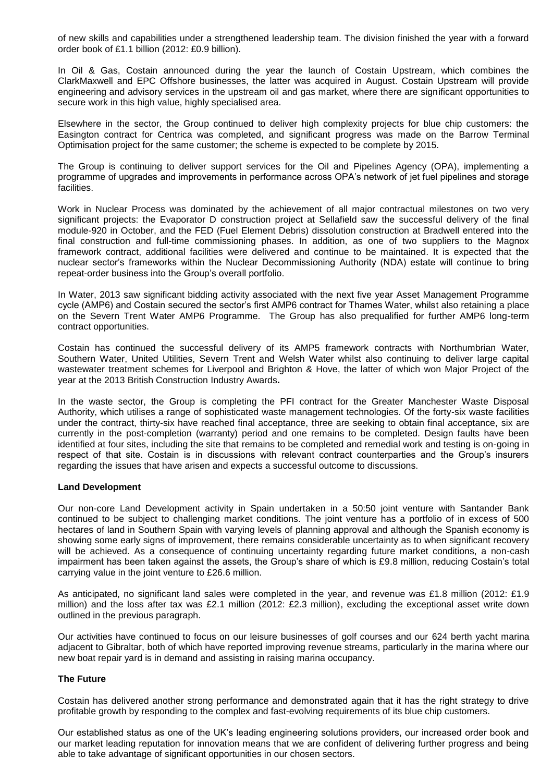of new skills and capabilities under a strengthened leadership team. The division finished the year with a forward order book of £1.1 billion (2012: £0.9 billion).

In Oil & Gas, Costain announced during the year the launch of Costain Upstream, which combines the ClarkMaxwell and EPC Offshore businesses, the latter was acquired in August. Costain Upstream will provide engineering and advisory services in the upstream oil and gas market, where there are significant opportunities to secure work in this high value, highly specialised area.

Elsewhere in the sector, the Group continued to deliver high complexity projects for blue chip customers: the Easington contract for Centrica was completed, and significant progress was made on the Barrow Terminal Optimisation project for the same customer; the scheme is expected to be complete by 2015.

The Group is continuing to deliver support services for the Oil and Pipelines Agency (OPA), implementing a programme of upgrades and improvements in performance across OPA's network of jet fuel pipelines and storage facilities.

Work in Nuclear Process was dominated by the achievement of all major contractual milestones on two very significant projects: the Evaporator D construction project at Sellafield saw the successful delivery of the final module-920 in October, and the FED (Fuel Element Debris) dissolution construction at Bradwell entered into the final construction and full-time commissioning phases. In addition, as one of two suppliers to the Magnox framework contract, additional facilities were delivered and continue to be maintained. It is expected that the nuclear sector's frameworks within the Nuclear Decommissioning Authority (NDA) estate will continue to bring repeat-order business into the Group's overall portfolio.

In Water, 2013 saw significant bidding activity associated with the next five year Asset Management Programme cycle (AMP6) and Costain secured the sector's first AMP6 contract for Thames Water, whilst also retaining a place on the Severn Trent Water AMP6 Programme. The Group has also prequalified for further AMP6 long-term contract opportunities.

Costain has continued the successful delivery of its AMP5 framework contracts with Northumbrian Water, Southern Water, United Utilities, Severn Trent and Welsh Water whilst also continuing to deliver large capital wastewater treatment schemes for Liverpool and Brighton & Hove, the latter of which won Major Project of the year at the 2013 British Construction Industry Awards**.**

In the waste sector, the Group is completing the PFI contract for the Greater Manchester Waste Disposal Authority, which utilises a range of sophisticated waste management technologies. Of the forty-six waste facilities under the contract, thirty-six have reached final acceptance, three are seeking to obtain final acceptance, six are currently in the post-completion (warranty) period and one remains to be completed. Design faults have been identified at four sites, including the site that remains to be completed and remedial work and testing is on-going in respect of that site. Costain is in discussions with relevant contract counterparties and the Group's insurers regarding the issues that have arisen and expects a successful outcome to discussions.

#### **Land Development**

Our non-core Land Development activity in Spain undertaken in a 50:50 joint venture with Santander Bank continued to be subject to challenging market conditions. The joint venture has a portfolio of in excess of 500 hectares of land in Southern Spain with varying levels of planning approval and although the Spanish economy is showing some early signs of improvement, there remains considerable uncertainty as to when significant recovery will be achieved. As a consequence of continuing uncertainty regarding future market conditions, a non-cash impairment has been taken against the assets, the Group's share of which is £9.8 million, reducing Costain's total carrying value in the joint venture to £26.6 million.

As anticipated, no significant land sales were completed in the year, and revenue was £1.8 million (2012: £1.9 million) and the loss after tax was £2.1 million (2012: £2.3 million), excluding the exceptional asset write down outlined in the previous paragraph.

Our activities have continued to focus on our leisure businesses of golf courses and our 624 berth yacht marina adjacent to Gibraltar, both of which have reported improving revenue streams, particularly in the marina where our new boat repair yard is in demand and assisting in raising marina occupancy.

#### **The Future**

Costain has delivered another strong performance and demonstrated again that it has the right strategy to drive profitable growth by responding to the complex and fast-evolving requirements of its blue chip customers.

Our established status as one of the UK's leading engineering solutions providers, our increased order book and our market leading reputation for innovation means that we are confident of delivering further progress and being able to take advantage of significant opportunities in our chosen sectors.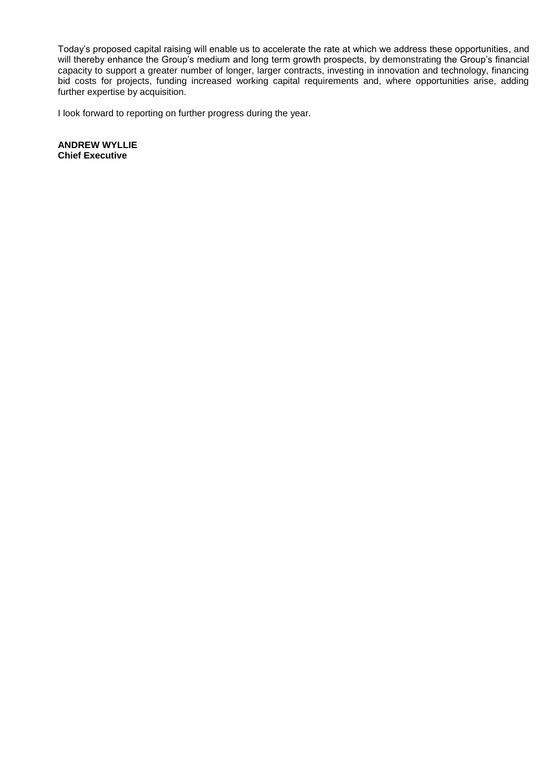Today's proposed capital raising will enable us to accelerate the rate at which we address these opportunities, and will thereby enhance the Group's medium and long term growth prospects, by demonstrating the Group's financial capacity to support a greater number of longer, larger contracts, investing in innovation and technology, financing bid costs for projects, funding increased working capital requirements and, where opportunities arise, adding further expertise by acquisition.

I look forward to reporting on further progress during the year.

**ANDREW WYLLIE Chief Executive**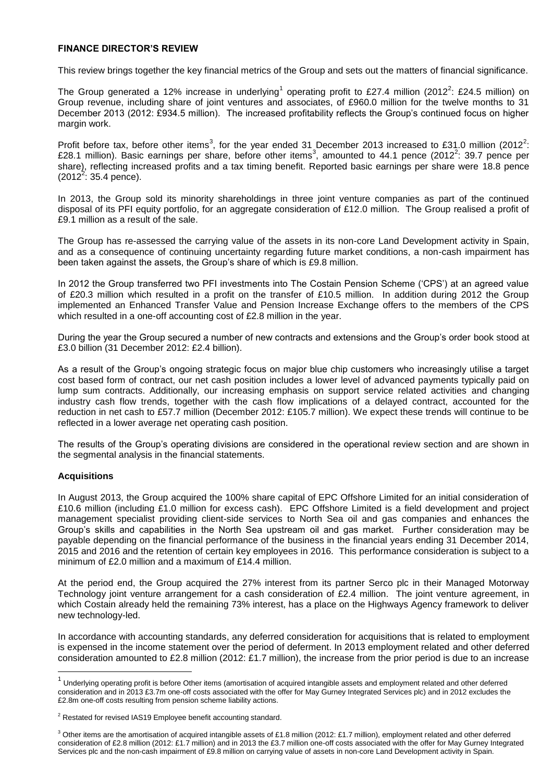#### **FINANCE DIRECTOR'S REVIEW**

This review brings together the key financial metrics of the Group and sets out the matters of financial significance.

The Group generated a 12% increase in underlying<sup>1</sup> operating profit to £27.4 million (2012<sup>2</sup>: £24.5 million) on Group revenue, including share of joint ventures and associates, of £960.0 million for the twelve months to 31 December 2013 (2012: £934.5 million). The increased profitability reflects the Group's continued focus on higher margin work.

Profit before tax, before other items<sup>3</sup>, for the year ended 31 December 2013 increased to £31.0 million (2012<sup>2</sup>: £28.1 million). Basic earnings per share, before other items<sup>3</sup>, amounted to 44.1 pence (2012<sup>2</sup>: 39.7 pence per share), reflecting increased profits and a tax timing benefit. Reported basic earnings per share were 18.8 pence  $(2012^2: 35.4$  pence).

In 2013, the Group sold its minority shareholdings in three joint venture companies as part of the continued disposal of its PFI equity portfolio, for an aggregate consideration of £12.0 million. The Group realised a profit of £9.1 million as a result of the sale.

The Group has re-assessed the carrying value of the assets in its non-core Land Development activity in Spain, and as a consequence of continuing uncertainty regarding future market conditions, a non-cash impairment has been taken against the assets, the Group's share of which is £9.8 million.

In 2012 the Group transferred two PFI investments into The Costain Pension Scheme ('CPS') at an agreed value of £20.3 million which resulted in a profit on the transfer of £10.5 million. In addition during 2012 the Group implemented an Enhanced Transfer Value and Pension Increase Exchange offers to the members of the CPS which resulted in a one-off accounting cost of £2.8 million in the year.

During the year the Group secured a number of new contracts and extensions and the Group's order book stood at £3.0 billion (31 December 2012: £2.4 billion).

As a result of the Group's ongoing strategic focus on major blue chip customers who increasingly utilise a target cost based form of contract, our net cash position includes a lower level of advanced payments typically paid on lump sum contracts. Additionally, our increasing emphasis on support service related activities and changing industry cash flow trends, together with the cash flow implications of a delayed contract, accounted for the reduction in net cash to £57.7 million (December 2012: £105.7 million). We expect these trends will continue to be reflected in a lower average net operating cash position.

The results of the Group's operating divisions are considered in the operational review section and are shown in the segmental analysis in the financial statements.

#### **Acquisitions**

 $\overline{a}$ 

In August 2013, the Group acquired the 100% share capital of EPC Offshore Limited for an initial consideration of £10.6 million (including £1.0 million for excess cash). EPC Offshore Limited is a field development and project management specialist providing client-side services to North Sea oil and gas companies and enhances the Group's skills and capabilities in the North Sea upstream oil and gas market. Further consideration may be payable depending on the financial performance of the business in the financial years ending 31 December 2014, 2015 and 2016 and the retention of certain key employees in 2016. This performance consideration is subject to a minimum of £2.0 million and a maximum of £14.4 million.

At the period end, the Group acquired the 27% interest from its partner Serco plc in their Managed Motorway Technology joint venture arrangement for a cash consideration of £2.4 million. The joint venture agreement, in which Costain already held the remaining 73% interest, has a place on the Highways Agency framework to deliver new technology-led.

In accordance with accounting standards, any deferred consideration for acquisitions that is related to employment is expensed in the income statement over the period of deferment. In 2013 employment related and other deferred consideration amounted to £2.8 million (2012: £1.7 million), the increase from the prior period is due to an increase

<sup>&</sup>lt;sup>1</sup> Underlying operating profit is before Other items (amortisation of acquired intangible assets and employment related and other deferred consideration and in 2013 £3.7m one-off costs associated with the offer for May Gurney Integrated Services plc) and in 2012 excludes the £2.8m one-off costs resulting from pension scheme liability actions.

<sup>&</sup>lt;sup>2</sup> Restated for revised IAS19 Employee benefit accounting standard.

 $3$  Other items are the amortisation of acquired intangible assets of £1.8 million (2012: £1.7 million), employment related and other deferred consideration of £2.8 million (2012: £1.7 million) and in 2013 the £3.7 million one-off costs associated with the offer for May Gurney Integrated Services plc and the non-cash impairment of £9.8 million on carrying value of assets in non-core Land Development activity in Spain.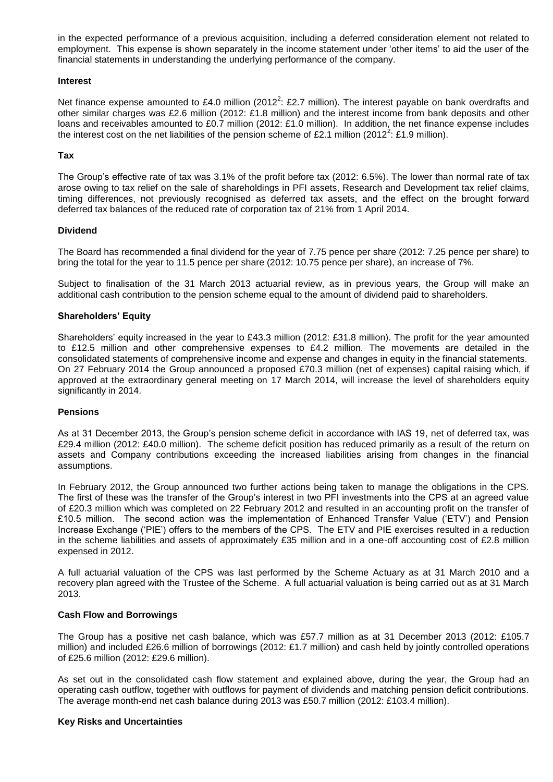in the expected performance of a previous acquisition, including a deferred consideration element not related to employment. This expense is shown separately in the income statement under 'other items' to aid the user of the financial statements in understanding the underlying performance of the company.

#### **Interest**

Net finance expense amounted to £4.0 million (2012<sup>2</sup>: £2.7 million). The interest payable on bank overdrafts and other similar charges was £2.6 million (2012: £1.8 million) and the interest income from bank deposits and other loans and receivables amounted to £0.7 million (2012: £1.0 million). In addition, the net finance expense includes the interest cost on the net liabilities of the pension scheme of £2.1 million (2012<sup>2</sup>: £1.9 million).

#### **Tax**

The Group's effective rate of tax was 3.1% of the profit before tax (2012: 6.5%). The lower than normal rate of tax arose owing to tax relief on the sale of shareholdings in PFI assets, Research and Development tax relief claims, timing differences, not previously recognised as deferred tax assets, and the effect on the brought forward deferred tax balances of the reduced rate of corporation tax of 21% from 1 April 2014.

#### **Dividend**

The Board has recommended a final dividend for the year of 7.75 pence per share (2012: 7.25 pence per share) to bring the total for the year to 11.5 pence per share (2012: 10.75 pence per share), an increase of 7%.

Subject to finalisation of the 31 March 2013 actuarial review, as in previous years, the Group will make an additional cash contribution to the pension scheme equal to the amount of dividend paid to shareholders.

#### **Shareholders' Equity**

Shareholders' equity increased in the year to £43.3 million (2012: £31.8 million). The profit for the year amounted to £12.5 million and other comprehensive expenses to £4.2 million. The movements are detailed in the consolidated statements of comprehensive income and expense and changes in equity in the financial statements. On 27 February 2014 the Group announced a proposed £70.3 million (net of expenses) capital raising which, if approved at the extraordinary general meeting on 17 March 2014, will increase the level of shareholders equity significantly in 2014.

#### **Pensions**

As at 31 December 2013, the Group's pension scheme deficit in accordance with IAS 19, net of deferred tax, was £29.4 million (2012: £40.0 million). The scheme deficit position has reduced primarily as a result of the return on assets and Company contributions exceeding the increased liabilities arising from changes in the financial assumptions.

In February 2012, the Group announced two further actions being taken to manage the obligations in the CPS. The first of these was the transfer of the Group's interest in two PFI investments into the CPS at an agreed value of £20.3 million which was completed on 22 February 2012 and resulted in an accounting profit on the transfer of £10.5 million. The second action was the implementation of Enhanced Transfer Value ('ETV') and Pension Increase Exchange ('PIE') offers to the members of the CPS. The ETV and PIE exercises resulted in a reduction in the scheme liabilities and assets of approximately £35 million and in a one-off accounting cost of £2.8 million expensed in 2012.

A full actuarial valuation of the CPS was last performed by the Scheme Actuary as at 31 March 2010 and a recovery plan agreed with the Trustee of the Scheme. A full actuarial valuation is being carried out as at 31 March 2013.

#### **Cash Flow and Borrowings**

The Group has a positive net cash balance, which was £57.7 million as at 31 December 2013 (2012: £105.7 million) and included £26.6 million of borrowings (2012: £1.7 million) and cash held by jointly controlled operations of £25.6 million (2012: £29.6 million).

As set out in the consolidated cash flow statement and explained above, during the year, the Group had an operating cash outflow, together with outflows for payment of dividends and matching pension deficit contributions. The average month-end net cash balance during 2013 was £50.7 million (2012: £103.4 million).

#### **Key Risks and Uncertainties**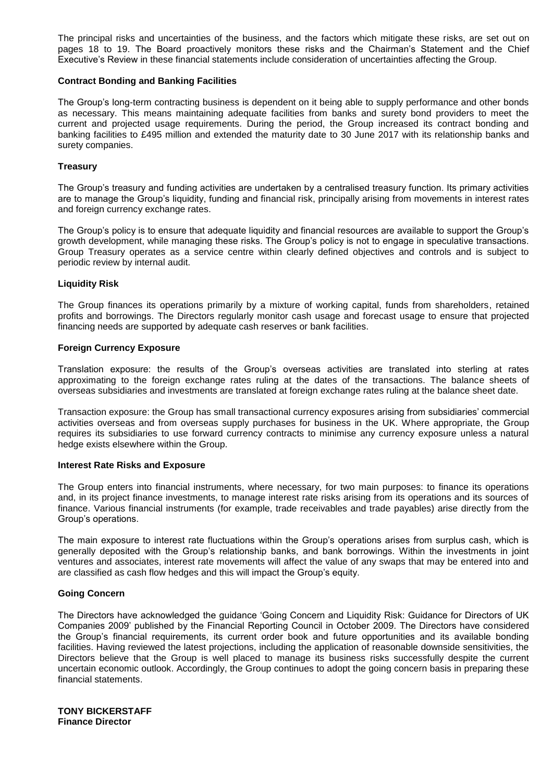The principal risks and uncertainties of the business, and the factors which mitigate these risks, are set out on pages 18 to 19. The Board proactively monitors these risks and the Chairman's Statement and the Chief Executive's Review in these financial statements include consideration of uncertainties affecting the Group.

#### **Contract Bonding and Banking Facilities**

The Group's long-term contracting business is dependent on it being able to supply performance and other bonds as necessary. This means maintaining adequate facilities from banks and surety bond providers to meet the current and projected usage requirements. During the period, the Group increased its contract bonding and banking facilities to £495 million and extended the maturity date to 30 June 2017 with its relationship banks and surety companies.

#### **Treasury**

The Group's treasury and funding activities are undertaken by a centralised treasury function. Its primary activities are to manage the Group's liquidity, funding and financial risk, principally arising from movements in interest rates and foreign currency exchange rates.

The Group's policy is to ensure that adequate liquidity and financial resources are available to support the Group's growth development, while managing these risks. The Group's policy is not to engage in speculative transactions. Group Treasury operates as a service centre within clearly defined objectives and controls and is subject to periodic review by internal audit.

#### **Liquidity Risk**

The Group finances its operations primarily by a mixture of working capital, funds from shareholders, retained profits and borrowings. The Directors regularly monitor cash usage and forecast usage to ensure that projected financing needs are supported by adequate cash reserves or bank facilities.

#### **Foreign Currency Exposure**

Translation exposure: the results of the Group's overseas activities are translated into sterling at rates approximating to the foreign exchange rates ruling at the dates of the transactions. The balance sheets of overseas subsidiaries and investments are translated at foreign exchange rates ruling at the balance sheet date.

Transaction exposure: the Group has small transactional currency exposures arising from subsidiaries' commercial activities overseas and from overseas supply purchases for business in the UK. Where appropriate, the Group requires its subsidiaries to use forward currency contracts to minimise any currency exposure unless a natural hedge exists elsewhere within the Group.

#### **Interest Rate Risks and Exposure**

The Group enters into financial instruments, where necessary, for two main purposes: to finance its operations and, in its project finance investments, to manage interest rate risks arising from its operations and its sources of finance. Various financial instruments (for example, trade receivables and trade payables) arise directly from the Group's operations.

The main exposure to interest rate fluctuations within the Group's operations arises from surplus cash, which is generally deposited with the Group's relationship banks, and bank borrowings. Within the investments in joint ventures and associates, interest rate movements will affect the value of any swaps that may be entered into and are classified as cash flow hedges and this will impact the Group's equity.

#### **Going Concern**

The Directors have acknowledged the guidance 'Going Concern and Liquidity Risk: Guidance for Directors of UK Companies 2009' published by the Financial Reporting Council in October 2009. The Directors have considered the Group's financial requirements, its current order book and future opportunities and its available bonding facilities. Having reviewed the latest projections, including the application of reasonable downside sensitivities, the Directors believe that the Group is well placed to manage its business risks successfully despite the current uncertain economic outlook. Accordingly, the Group continues to adopt the going concern basis in preparing these financial statements.

**TONY BICKERSTAFF Finance Director**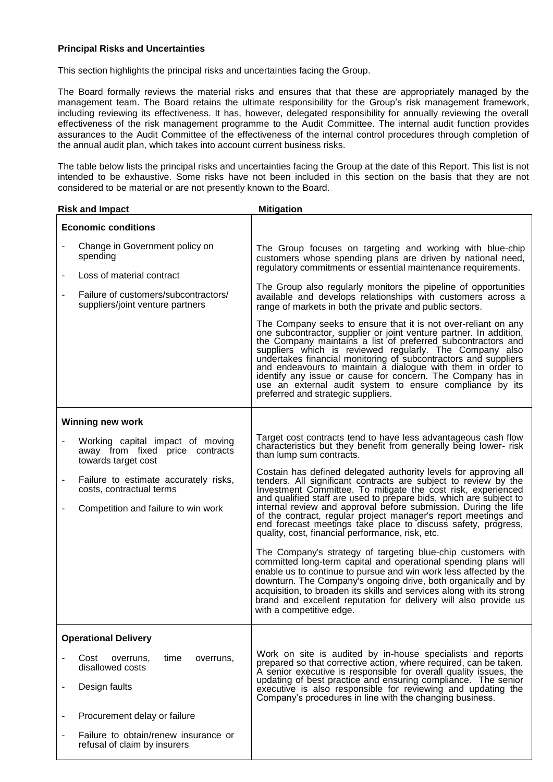#### **Principal Risks and Uncertainties**

This section highlights the principal risks and uncertainties facing the Group.

The Board formally reviews the material risks and ensures that that these are appropriately managed by the management team. The Board retains the ultimate responsibility for the Group's risk management framework, including reviewing its effectiveness. It has, however, delegated responsibility for annually reviewing the overall effectiveness of the risk management programme to the Audit Committee. The internal audit function provides assurances to the Audit Committee of the effectiveness of the internal control procedures through completion of the annual audit plan, which takes into account current business risks.

The table below lists the principal risks and uncertainties facing the Group at the date of this Report. This list is not intended to be exhaustive. Some risks have not been included in this section on the basis that they are not considered to be material or are not presently known to the Board.

|                              | <b>Risk and Impact</b>                                                                                                                                                                                 | <b>Mitigation</b>                                                                                                                                                                                                                                                                                                                                                                                                                                                                                                                                                                                                                                                                                                                                                                                                                                                                                                                                                                                                                                                                                                                                        |
|------------------------------|--------------------------------------------------------------------------------------------------------------------------------------------------------------------------------------------------------|----------------------------------------------------------------------------------------------------------------------------------------------------------------------------------------------------------------------------------------------------------------------------------------------------------------------------------------------------------------------------------------------------------------------------------------------------------------------------------------------------------------------------------------------------------------------------------------------------------------------------------------------------------------------------------------------------------------------------------------------------------------------------------------------------------------------------------------------------------------------------------------------------------------------------------------------------------------------------------------------------------------------------------------------------------------------------------------------------------------------------------------------------------|
|                              | <b>Economic conditions</b>                                                                                                                                                                             |                                                                                                                                                                                                                                                                                                                                                                                                                                                                                                                                                                                                                                                                                                                                                                                                                                                                                                                                                                                                                                                                                                                                                          |
|                              | Change in Government policy on<br>spending<br>Loss of material contract                                                                                                                                | The Group focuses on targeting and working with blue-chip<br>customers whose spending plans are driven by national need,<br>regulatory commitments or essential maintenance requirements.                                                                                                                                                                                                                                                                                                                                                                                                                                                                                                                                                                                                                                                                                                                                                                                                                                                                                                                                                                |
|                              | Failure of customers/subcontractors/<br>suppliers/joint venture partners                                                                                                                               | The Group also regularly monitors the pipeline of opportunities<br>available and develops relationships with customers across a<br>range of markets in both the private and public sectors.                                                                                                                                                                                                                                                                                                                                                                                                                                                                                                                                                                                                                                                                                                                                                                                                                                                                                                                                                              |
|                              |                                                                                                                                                                                                        | The Company seeks to ensure that it is not over-reliant on any<br>one subcontractor, supplier or joint venture partner. In addition,<br>the Company maintains a list of preferred subcontractors and<br>suppliers which is reviewed regularly. The Company also<br>undertakes financial monitoring of subcontractors and suppliers<br>and endeavours to maintain a dialogue with them in order to<br>identify any issue or cause for concern. The Company has in<br>use an external audit system to ensure compliance by its<br>preferred and strategic suppliers.                                                                                                                                                                                                                                                                                                                                                                                                                                                                                                                                                                                       |
|                              | <b>Winning new work</b>                                                                                                                                                                                |                                                                                                                                                                                                                                                                                                                                                                                                                                                                                                                                                                                                                                                                                                                                                                                                                                                                                                                                                                                                                                                                                                                                                          |
| -                            | Working capital impact of moving<br>away from fixed price contracts<br>towards target cost<br>Failure to estimate accurately risks,<br>costs, contractual terms<br>Competition and failure to win work | Target cost contracts tend to have less advantageous cash flow<br>characteristics but they benefit from generally being lower-risk<br>than lump sum contracts.<br>Costain has defined delegated authority levels for approving all<br>tenders. All significant contracts are subject to review by the<br>Investment Committee. To mitigate the cost risk, experienced<br>and qualified staff are used to prepare bids, which are subject to<br>internal review and approval before submission. During the life<br>of the contract, regular project manager's report meetings and<br>end forecast meetings take place to discuss safety, progress,<br>quality, cost, financial performance, risk, etc.<br>The Company's strategy of targeting blue-chip customers with<br>committed long-term capital and operational spending plans will<br>enable us to continue to pursue and win work less affected by the<br>downturn. The Company's ongoing drive, both organically and by<br>acquisition, to broaden its skills and services along with its strong<br>brand and excellent reputation for delivery will also provide us<br>with a competitive edge. |
|                              | <b>Operational Delivery</b>                                                                                                                                                                            |                                                                                                                                                                                                                                                                                                                                                                                                                                                                                                                                                                                                                                                                                                                                                                                                                                                                                                                                                                                                                                                                                                                                                          |
|                              | Cost<br>overruns,<br>time<br>overruns,<br>disallowed costs<br>Design faults                                                                                                                            | Work on site is audited by in-house specialists and reports<br>prepared so that corrective action, where required, can be taken.<br>A senior executive is responsible for overall quality issues, the<br>updating of best practice and ensuring compliance. The senior<br>executive is also responsible for reviewing and updating the<br>Company's procedures in line with the changing business.                                                                                                                                                                                                                                                                                                                                                                                                                                                                                                                                                                                                                                                                                                                                                       |
|                              | Procurement delay or failure                                                                                                                                                                           |                                                                                                                                                                                                                                                                                                                                                                                                                                                                                                                                                                                                                                                                                                                                                                                                                                                                                                                                                                                                                                                                                                                                                          |
| $\qquad \qquad \blacksquare$ | Failure to obtain/renew insurance or<br>refusal of claim by insurers                                                                                                                                   |                                                                                                                                                                                                                                                                                                                                                                                                                                                                                                                                                                                                                                                                                                                                                                                                                                                                                                                                                                                                                                                                                                                                                          |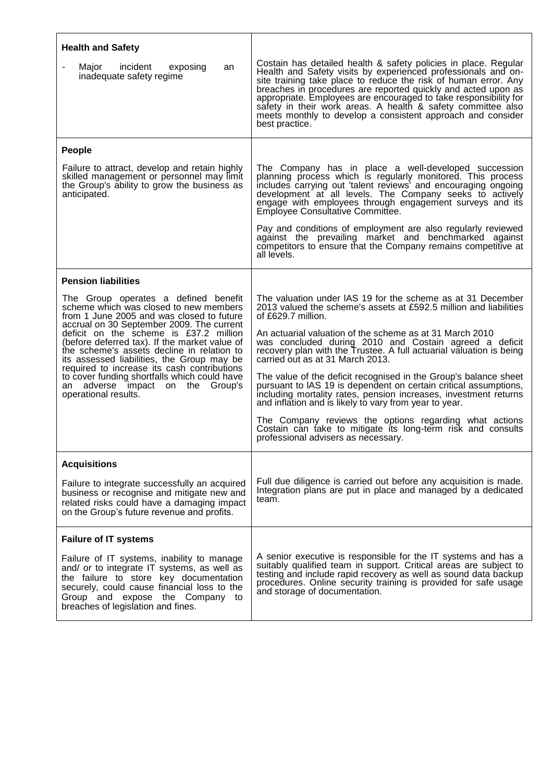| <b>Health and Safety</b>                                                                                                                                                                                                                                    |                                                                                                                                                                                                                                                                                                                                                                                                                                                                                           |
|-------------------------------------------------------------------------------------------------------------------------------------------------------------------------------------------------------------------------------------------------------------|-------------------------------------------------------------------------------------------------------------------------------------------------------------------------------------------------------------------------------------------------------------------------------------------------------------------------------------------------------------------------------------------------------------------------------------------------------------------------------------------|
| Major<br>incident<br>exposing<br>an<br>inadequate safety regime                                                                                                                                                                                             | Costain has detailed health & safety policies in place. Regular<br>Health and Safety visits by experienced professionals and on-<br>site training take place to reduce the risk of human error. Any<br>breaches in procedures are reported quickly and acted upon as<br>appropriate. Employees are encouraged to take responsibility for<br>safety in their work areas. A health & safety committee also<br>meets monthly to develop a consistent approach and consider<br>best practice. |
| People                                                                                                                                                                                                                                                      |                                                                                                                                                                                                                                                                                                                                                                                                                                                                                           |
| Failure to attract, develop and retain highly<br>skilled management or personnel may limit<br>the Group's ability to grow the business as<br>anticipated.                                                                                                   | The Company has in place a well-developed succession<br>planning process which is regularly monitored. This process<br>includes carrying out 'talent reviews' and encouraging ongoing<br>development at all levels. The Company seeks to actively<br>engage with employees through engagement surveys and its<br>Employee Consultative Committee.                                                                                                                                         |
|                                                                                                                                                                                                                                                             | Pay and conditions of employment are also regularly reviewed<br>against the prevailing market and benchmarked against<br>competitors to ensure that the Company remains competitive at<br>all levels.                                                                                                                                                                                                                                                                                     |
| <b>Pension liabilities</b>                                                                                                                                                                                                                                  |                                                                                                                                                                                                                                                                                                                                                                                                                                                                                           |
| The Group operates a defined benefit<br>scheme which was closed to new members<br>from 1 June 2005 and was closed to future<br>accrual on 30 September 2009. The current                                                                                    | The valuation under IAS 19 for the scheme as at 31 December<br>2013 valued the scheme's assets at £592.5 million and liabilities<br>of £629.7 million.                                                                                                                                                                                                                                                                                                                                    |
| deficit on the scheme is £37.2 million<br>(before deferred tax). If the market value of<br>the scheme's assets decline in relation to<br>its assessed liabilities, the Group may be<br>required to increase its cash contributions                          | An actuarial valuation of the scheme as at 31 March 2010<br>was concluded during 2010 and Costain agreed a deficit<br>recovery plan with the Trustee. A full actuarial valuation is being<br>carried out as at 31 March 2013.                                                                                                                                                                                                                                                             |
| to cover funding shortfalls which could have<br>an adverse impact on the Group's<br>operational results.                                                                                                                                                    | The value of the deficit recognised in the Group's balance sheet<br>pursuant to IAS 19 is dependent on certain critical assumptions,<br>including mortality rates, pension increases, investment returns<br>and inflation and is likely to vary from year to year.                                                                                                                                                                                                                        |
|                                                                                                                                                                                                                                                             | The Company reviews the options regarding what actions<br>Costain can take to mitigate its long-term risk and consults<br>professional advisers as necessary.                                                                                                                                                                                                                                                                                                                             |
| <b>Acquisitions</b>                                                                                                                                                                                                                                         |                                                                                                                                                                                                                                                                                                                                                                                                                                                                                           |
| Failure to integrate successfully an acquired<br>business or recognise and mitigate new and<br>related risks could have a damaging impact<br>on the Group's future revenue and profits.                                                                     | Full due diligence is carried out before any acquisition is made.<br>Integration plans are put in place and managed by a dedicated<br>team.                                                                                                                                                                                                                                                                                                                                               |
| <b>Failure of IT systems</b>                                                                                                                                                                                                                                |                                                                                                                                                                                                                                                                                                                                                                                                                                                                                           |
| Failure of IT systems, inability to manage<br>and/ or to integrate IT systems, as well as<br>the failure to store key documentation<br>securely, could cause financial loss to the<br>Group and expose the Company to<br>breaches of legislation and fines. | A senior executive is responsible for the IT systems and has a<br>suitably qualified team in support. Critical areas are subject to<br>testing and include rapid recovery as well as sound data backup<br>procedures. Online security training is provided for safe usage<br>and storage of documentation.                                                                                                                                                                                |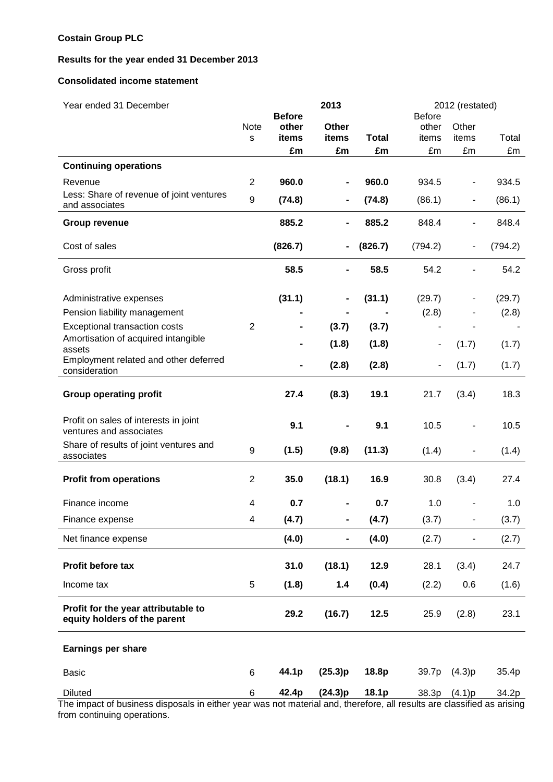# **Costain Group PLC**

# **Results for the year ended 31 December 2013**

#### **Consolidated income statement**

| Year ended 31 December                                              |                         | 2013                   |                |              | 2012 (restated)        |        |         |  |
|---------------------------------------------------------------------|-------------------------|------------------------|----------------|--------------|------------------------|--------|---------|--|
|                                                                     | Note                    | <b>Before</b><br>other | Other          |              | <b>Before</b><br>other | Other  |         |  |
|                                                                     | ${\mathsf s}$           | items                  | items          | <b>Total</b> | items                  | items  | Total   |  |
|                                                                     |                         | £m                     | £m             | £m           | £m                     | £m     | £m      |  |
| <b>Continuing operations</b>                                        |                         |                        |                |              |                        |        |         |  |
| Revenue                                                             | 2                       | 960.0                  |                | 960.0        | 934.5                  |        | 934.5   |  |
| Less: Share of revenue of joint ventures<br>and associates          | $\boldsymbol{9}$        | (74.8)                 |                | (74.8)       | (86.1)                 |        | (86.1)  |  |
| <b>Group revenue</b>                                                |                         | 885.2                  | Ξ.             | 885.2        | 848.4                  |        | 848.4   |  |
| Cost of sales                                                       |                         | (826.7)                |                | (826.7)      | (794.2)                |        | (794.2) |  |
| Gross profit                                                        |                         | 58.5                   |                | 58.5         | 54.2                   |        | 54.2    |  |
| Administrative expenses                                             |                         | (31.1)                 |                | (31.1)       | (29.7)                 |        | (29.7)  |  |
| Pension liability management                                        |                         |                        |                |              | (2.8)                  |        | (2.8)   |  |
| Exceptional transaction costs                                       | 2                       |                        | (3.7)          | (3.7)        |                        |        |         |  |
| Amortisation of acquired intangible<br>assets                       |                         |                        | (1.8)          | (1.8)        |                        | (1.7)  | (1.7)   |  |
| Employment related and other deferred<br>consideration              |                         |                        | (2.8)          | (2.8)        |                        | (1.7)  | (1.7)   |  |
| <b>Group operating profit</b>                                       |                         | 27.4                   | (8.3)          | 19.1         | 21.7                   | (3.4)  | 18.3    |  |
| Profit on sales of interests in joint<br>ventures and associates    |                         | 9.1                    |                | 9.1          | 10.5                   |        | 10.5    |  |
| Share of results of joint ventures and<br>associates                | 9                       | (1.5)                  | (9.8)          | (11.3)       | (1.4)                  |        | (1.4)   |  |
| <b>Profit from operations</b>                                       | $\overline{2}$          | 35.0                   | (18.1)         | 16.9         | 30.8                   | (3.4)  | 27.4    |  |
| Finance income                                                      | 4                       | 0.7                    |                | 0.7          | 1.0                    |        | 1.0     |  |
| Finance expense                                                     | $\overline{\mathbf{4}}$ | (4.7)                  | $\blacksquare$ | (4.7)        | (3.7)                  |        | (3.7)   |  |
| Net finance expense                                                 |                         | (4.0)                  |                | (4.0)        | (2.7)                  |        | (2.7)   |  |
| Profit before tax                                                   |                         | 31.0                   | (18.1)         | 12.9         | 28.1                   | (3.4)  | 24.7    |  |
| Income tax                                                          | 5                       | (1.8)                  | 1.4            | (0.4)        | (2.2)                  | 0.6    | (1.6)   |  |
| Profit for the year attributable to<br>equity holders of the parent |                         | 29.2                   | (16.7)         | 12.5         | 25.9                   | (2.8)  | 23.1    |  |
| <b>Earnings per share</b>                                           |                         |                        |                |              |                        |        |         |  |
| <b>Basic</b>                                                        | 6                       | 44.1p                  | (25.3)p        | 18.8p        | 39.7p                  | (4.3)p | 35.4p   |  |
| <b>Diluted</b><br>The impact of business disposals in oither        | 6                       | 42.4p                  | (24.3)p        | 18.1p        | 38.3p                  | (4.1)p | 34.2p   |  |

The impact of business disposals in either year was not material and, therefore, all results are classified as arising from continuing operations.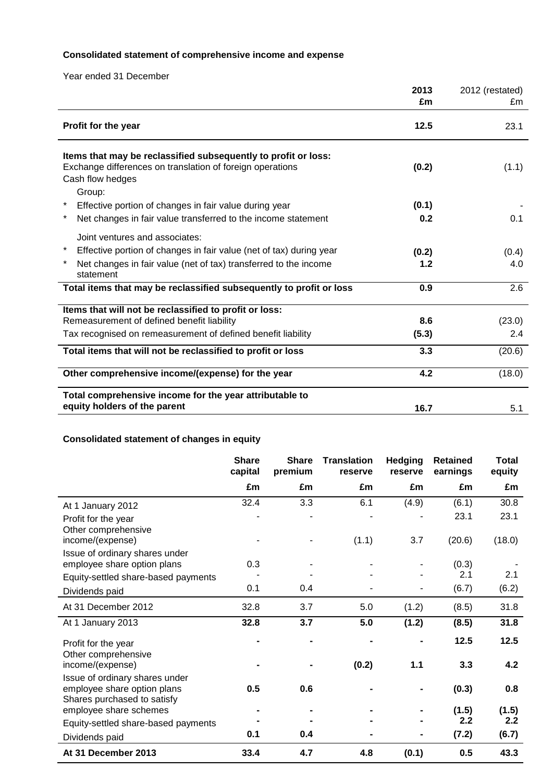# **Consolidated statement of comprehensive income and expense**

Year ended 31 December

|                                                                                                                                                 | 2013<br>£m | 2012 (restated)<br>£m |
|-------------------------------------------------------------------------------------------------------------------------------------------------|------------|-----------------------|
| Profit for the year                                                                                                                             | 12.5       | 23.1                  |
| Items that may be reclassified subsequently to profit or loss:<br>Exchange differences on translation of foreign operations<br>Cash flow hedges | (0.2)      | (1.1)                 |
| Group:<br>Effective portion of changes in fair value during year                                                                                | (0.1)      |                       |
| Net changes in fair value transferred to the income statement                                                                                   | 0.2        | 0.1                   |
| Joint ventures and associates:                                                                                                                  |            |                       |
| Effective portion of changes in fair value (net of tax) during year                                                                             | (0.2)      | (0.4)                 |
| Net changes in fair value (net of tax) transferred to the income<br>statement                                                                   | 1.2        | 4.0                   |
| Total items that may be reclassified subsequently to profit or loss                                                                             | 0.9        | 2.6                   |
| Items that will not be reclassified to profit or loss:                                                                                          |            |                       |
| Remeasurement of defined benefit liability                                                                                                      | 8.6        | (23.0)                |
| Tax recognised on remeasurement of defined benefit liability                                                                                    | (5.3)      | 2.4                   |
| Total items that will not be reclassified to profit or loss                                                                                     | 3.3        | (20.6)                |
| Other comprehensive income/(expense) for the year                                                                                               | 4.2        | (18.0)                |
| Total comprehensive income for the year attributable to<br>equity holders of the parent                                                         | 16.7       | 5.1                   |
|                                                                                                                                                 |            |                       |

# **Consolidated statement of changes in equity**

|                                                                                              | <b>Share</b><br>capital | <b>Share</b><br>premium | <b>Translation</b><br>reserve | <b>Hedging</b><br>reserve | <b>Retained</b><br>earnings | Total<br>equity |
|----------------------------------------------------------------------------------------------|-------------------------|-------------------------|-------------------------------|---------------------------|-----------------------------|-----------------|
|                                                                                              | £m                      | £m                      | £m                            | £m                        | £m                          | £m              |
| At 1 January 2012                                                                            | 32.4                    | 3.3                     | 6.1                           | (4.9)                     | (6.1)                       | 30.8            |
| Profit for the year<br>Other comprehensive                                                   |                         |                         |                               |                           | 23.1                        | 23.1            |
| income/(expense)                                                                             |                         |                         | (1.1)                         | 3.7                       | (20.6)                      | (18.0)          |
| Issue of ordinary shares under<br>employee share option plans                                | 0.3                     |                         |                               |                           | (0.3)                       |                 |
| Equity-settled share-based payments                                                          |                         |                         |                               |                           | 2.1                         | 2.1             |
| Dividends paid                                                                               | 0.1                     | 0.4                     |                               |                           | (6.7)                       | (6.2)           |
| At 31 December 2012                                                                          | 32.8                    | 3.7                     | 5.0                           | (1.2)                     | (8.5)                       | 31.8            |
| At 1 January 2013                                                                            | 32.8                    | 3.7                     | 5.0                           | (1.2)                     | (8.5)                       | 31.8            |
| Profit for the year<br>Other comprehensive                                                   |                         |                         |                               |                           | 12.5                        | 12.5            |
| income/(expense)                                                                             |                         |                         | (0.2)                         | $1.1$                     | 3.3                         | 4.2             |
| Issue of ordinary shares under<br>employee share option plans<br>Shares purchased to satisfy | 0.5                     | 0.6                     |                               |                           | (0.3)                       | 0.8             |
| employee share schemes                                                                       |                         |                         |                               |                           | (1.5)                       | (1.5)           |
| Equity-settled share-based payments                                                          |                         |                         |                               |                           | 2.2                         | 2.2             |
| Dividends paid                                                                               | 0.1                     | 0.4                     |                               |                           | (7.2)                       | (6.7)           |
| At 31 December 2013                                                                          | 33.4                    | 4.7                     | 4.8                           | (0.1)                     | 0.5                         | 43.3            |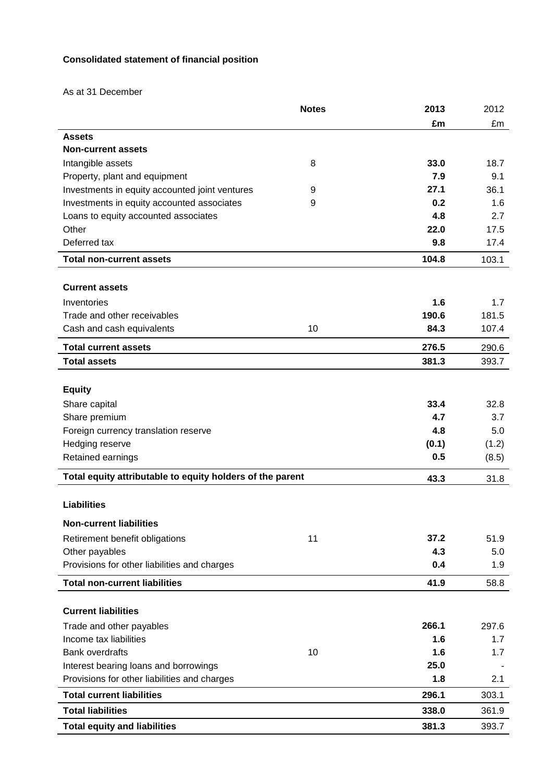# **Consolidated statement of financial position**

As at 31 December

|                                                           | <b>Notes</b> | 2013  | 2012  |
|-----------------------------------------------------------|--------------|-------|-------|
|                                                           |              | £m    | £m    |
| <b>Assets</b>                                             |              |       |       |
| <b>Non-current assets</b>                                 |              |       |       |
| Intangible assets                                         | 8            | 33.0  | 18.7  |
| Property, plant and equipment                             |              | 7.9   | 9.1   |
| Investments in equity accounted joint ventures            | 9            | 27.1  | 36.1  |
| Investments in equity accounted associates                | 9            | 0.2   | 1.6   |
| Loans to equity accounted associates                      |              | 4.8   | 2.7   |
| Other                                                     |              | 22.0  | 17.5  |
| Deferred tax                                              |              | 9.8   | 17.4  |
| <b>Total non-current assets</b>                           |              | 104.8 | 103.1 |
|                                                           |              |       |       |
| <b>Current assets</b>                                     |              |       |       |
| Inventories                                               |              | 1.6   | 1.7   |
| Trade and other receivables                               |              | 190.6 | 181.5 |
| Cash and cash equivalents                                 | 10           | 84.3  | 107.4 |
| <b>Total current assets</b>                               |              | 276.5 | 290.6 |
| <b>Total assets</b>                                       |              | 381.3 | 393.7 |
|                                                           |              |       |       |
| <b>Equity</b>                                             |              |       |       |
| Share capital                                             |              | 33.4  | 32.8  |
| Share premium                                             |              | 4.7   | 3.7   |
| Foreign currency translation reserve                      |              | 4.8   | 5.0   |
| Hedging reserve                                           |              | (0.1) | (1.2) |
| Retained earnings                                         |              | 0.5   | (8.5) |
| Total equity attributable to equity holders of the parent |              | 43.3  | 31.8  |
|                                                           |              |       |       |
| <b>Liabilities</b>                                        |              |       |       |
| <b>Non-current liabilities</b>                            |              |       |       |
| Retirement benefit obligations                            | 11           | 37.2  | 51.9  |
| Other payables                                            |              | 4.3   | 5.0   |
| Provisions for other liabilities and charges              |              | 0.4   | 1.9   |
| <b>Total non-current liabilities</b>                      |              | 41.9  | 58.8  |
|                                                           |              |       |       |
| <b>Current liabilities</b>                                |              |       |       |
| Trade and other payables                                  |              | 266.1 | 297.6 |
| Income tax liabilities                                    |              | 1.6   | 1.7   |
| <b>Bank overdrafts</b>                                    | 10           | 1.6   | 1.7   |
| Interest bearing loans and borrowings                     |              | 25.0  |       |
| Provisions for other liabilities and charges              |              | 1.8   | 2.1   |
| <b>Total current liabilities</b>                          |              | 296.1 | 303.1 |
| <b>Total liabilities</b>                                  |              | 338.0 | 361.9 |
| <b>Total equity and liabilities</b>                       |              | 381.3 | 393.7 |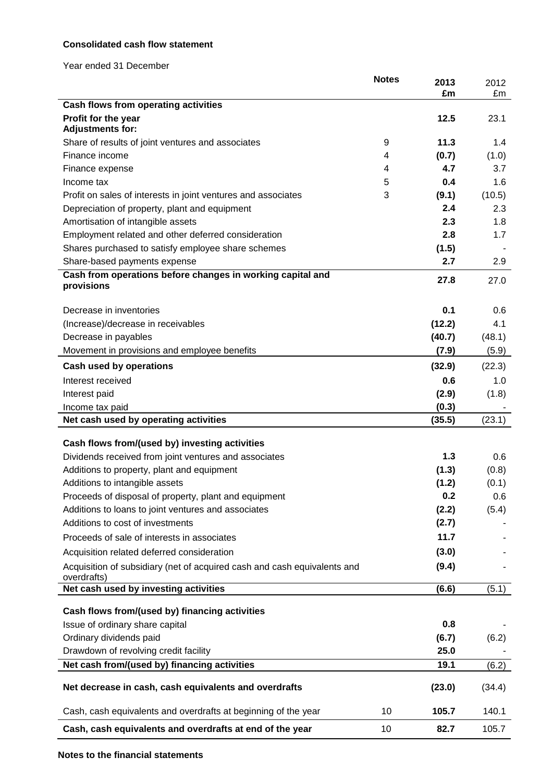# **Consolidated cash flow statement**

Year ended 31 December

|                                                                          | <b>Notes</b> | 2013   | 2012   |
|--------------------------------------------------------------------------|--------------|--------|--------|
| Cash flows from operating activities                                     |              | £m     | £m     |
| Profit for the year                                                      |              | 12.5   | 23.1   |
| <b>Adjustments for:</b>                                                  |              |        |        |
| Share of results of joint ventures and associates                        | 9            | 11.3   | 1.4    |
| Finance income                                                           | 4            | (0.7)  | (1.0)  |
| Finance expense                                                          | 4            | 4.7    | 3.7    |
| Income tax                                                               | 5            | 0.4    | 1.6    |
| Profit on sales of interests in joint ventures and associates            | 3            | (9.1)  | (10.5) |
| Depreciation of property, plant and equipment                            |              | 2.4    | 2.3    |
| Amortisation of intangible assets                                        |              | 2.3    | 1.8    |
| Employment related and other deferred consideration                      |              | 2.8    | 1.7    |
| Shares purchased to satisfy employee share schemes                       |              | (1.5)  |        |
| Share-based payments expense                                             |              | 2.7    | 2.9    |
| Cash from operations before changes in working capital and               |              | 27.8   | 27.0   |
| provisions                                                               |              |        |        |
| Decrease in inventories                                                  |              | 0.1    | 0.6    |
| (Increase)/decrease in receivables                                       |              | (12.2) | 4.1    |
| Decrease in payables                                                     |              | (40.7) | (48.1) |
| Movement in provisions and employee benefits                             |              | (7.9)  | (5.9)  |
|                                                                          |              |        |        |
| <b>Cash used by operations</b>                                           |              | (32.9) | (22.3) |
| Interest received                                                        |              | 0.6    | 1.0    |
| Interest paid                                                            |              | (2.9)  | (1.8)  |
| Income tax paid                                                          |              | (0.3)  |        |
| Net cash used by operating activities                                    |              | (35.5) | (23.1) |
| Cash flows from/(used by) investing activities                           |              |        |        |
| Dividends received from joint ventures and associates                    |              | 1.3    | 0.6    |
| Additions to property, plant and equipment                               |              | (1.3)  | (0.8)  |
| Additions to intangible assets                                           |              | (1.2)  | (0.1)  |
| Proceeds of disposal of property, plant and equipment                    |              | 0.2    | 0.6    |
| Additions to loans to joint ventures and associates                      |              | (2.2)  | (5.4)  |
| Additions to cost of investments                                         |              | (2.7)  |        |
| Proceeds of sale of interests in associates                              |              | 11.7   |        |
| Acquisition related deferred consideration                               |              | (3.0)  |        |
| Acquisition of subsidiary (net of acquired cash and cash equivalents and |              | (9.4)  |        |
| overdrafts)                                                              |              |        |        |
| Net cash used by investing activities                                    |              | (6.6)  | (5.1)  |
| Cash flows from/(used by) financing activities                           |              |        |        |
| Issue of ordinary share capital                                          |              | 0.8    |        |
| Ordinary dividends paid                                                  |              | (6.7)  | (6.2)  |
| Drawdown of revolving credit facility                                    |              | 25.0   |        |
| Net cash from/(used by) financing activities                             |              | 19.1   | (6.2)  |
| Net decrease in cash, cash equivalents and overdrafts                    |              | (23.0) | (34.4) |
| Cash, cash equivalents and overdrafts at beginning of the year           | 10           | 105.7  | 140.1  |
|                                                                          |              |        |        |
| Cash, cash equivalents and overdrafts at end of the year                 | 10           | 82.7   | 105.7  |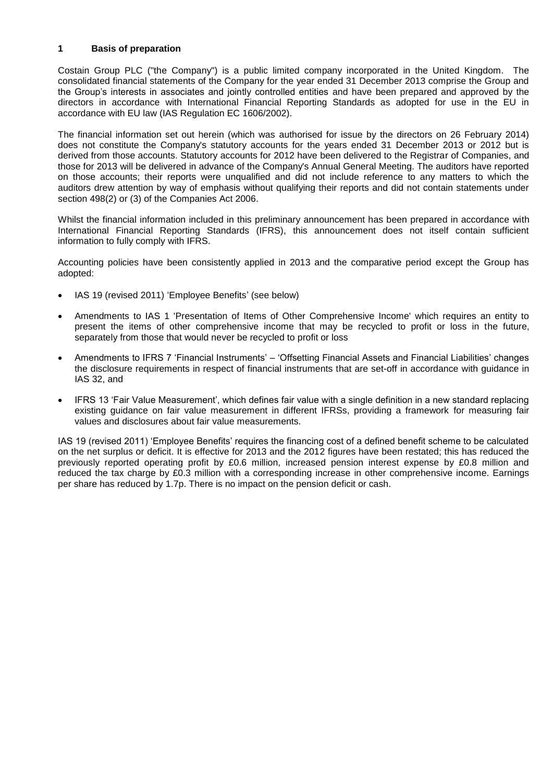#### **1 Basis of preparation**

Costain Group PLC ("the Company") is a public limited company incorporated in the United Kingdom. The consolidated financial statements of the Company for the year ended 31 December 2013 comprise the Group and the Group's interests in associates and jointly controlled entities and have been prepared and approved by the directors in accordance with International Financial Reporting Standards as adopted for use in the EU in accordance with EU law (IAS Regulation EC 1606/2002).

The financial information set out herein (which was authorised for issue by the directors on 26 February 2014) does not constitute the Company's statutory accounts for the years ended 31 December 2013 or 2012 but is derived from those accounts. Statutory accounts for 2012 have been delivered to the Registrar of Companies, and those for 2013 will be delivered in advance of the Company's Annual General Meeting. The auditors have reported on those accounts; their reports were unqualified and did not include reference to any matters to which the auditors drew attention by way of emphasis without qualifying their reports and did not contain statements under section 498(2) or (3) of the Companies Act 2006.

Whilst the financial information included in this preliminary announcement has been prepared in accordance with International Financial Reporting Standards (IFRS), this announcement does not itself contain sufficient information to fully comply with IFRS.

Accounting policies have been consistently applied in 2013 and the comparative period except the Group has adopted:

- IAS 19 (revised 2011) 'Employee Benefits' (see below)
- Amendments to IAS 1 'Presentation of Items of Other Comprehensive Income' which requires an entity to present the items of other comprehensive income that may be recycled to profit or loss in the future, separately from those that would never be recycled to profit or loss
- Amendments to IFRS 7 'Financial Instruments' 'Offsetting Financial Assets and Financial Liabilities' changes the disclosure requirements in respect of financial instruments that are set-off in accordance with guidance in IAS 32, and
- IFRS 13 'Fair Value Measurement', which defines fair value with a single definition in a new standard replacing existing guidance on fair value measurement in different IFRSs, providing a framework for measuring fair values and disclosures about fair value measurements.

IAS 19 (revised 2011) 'Employee Benefits' requires the financing cost of a defined benefit scheme to be calculated on the net surplus or deficit. It is effective for 2013 and the 2012 figures have been restated; this has reduced the previously reported operating profit by £0.6 million, increased pension interest expense by £0.8 million and reduced the tax charge by £0.3 million with a corresponding increase in other comprehensive income. Earnings per share has reduced by 1.7p. There is no impact on the pension deficit or cash.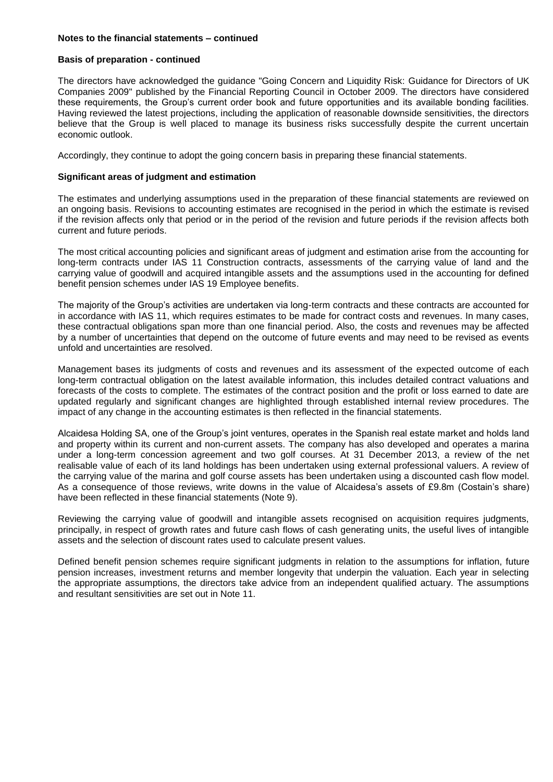#### **Notes to the financial statements – continued**

#### **Basis of preparation - continued**

The directors have acknowledged the guidance "Going Concern and Liquidity Risk: Guidance for Directors of UK Companies 2009" published by the Financial Reporting Council in October 2009. The directors have considered these requirements, the Group's current order book and future opportunities and its available bonding facilities. Having reviewed the latest projections, including the application of reasonable downside sensitivities, the directors believe that the Group is well placed to manage its business risks successfully despite the current uncertain economic outlook.

Accordingly, they continue to adopt the going concern basis in preparing these financial statements.

#### **Significant areas of judgment and estimation**

The estimates and underlying assumptions used in the preparation of these financial statements are reviewed on an ongoing basis. Revisions to accounting estimates are recognised in the period in which the estimate is revised if the revision affects only that period or in the period of the revision and future periods if the revision affects both current and future periods.

The most critical accounting policies and significant areas of judgment and estimation arise from the accounting for long-term contracts under IAS 11 Construction contracts, assessments of the carrying value of land and the carrying value of goodwill and acquired intangible assets and the assumptions used in the accounting for defined benefit pension schemes under IAS 19 Employee benefits.

The maiority of the Group's activities are undertaken via long-term contracts and these contracts are accounted for in accordance with IAS 11, which requires estimates to be made for contract costs and revenues. In many cases, these contractual obligations span more than one financial period. Also, the costs and revenues may be affected by a number of uncertainties that depend on the outcome of future events and may need to be revised as events unfold and uncertainties are resolved.

Management bases its judgments of costs and revenues and its assessment of the expected outcome of each long-term contractual obligation on the latest available information, this includes detailed contract valuations and forecasts of the costs to complete. The estimates of the contract position and the profit or loss earned to date are updated regularly and significant changes are highlighted through established internal review procedures. The impact of any change in the accounting estimates is then reflected in the financial statements.

Alcaidesa Holding SA, one of the Group's joint ventures, operates in the Spanish real estate market and holds land and property within its current and non-current assets. The company has also developed and operates a marina under a long-term concession agreement and two golf courses. At 31 December 2013, a review of the net realisable value of each of its land holdings has been undertaken using external professional valuers. A review of the carrying value of the marina and golf course assets has been undertaken using a discounted cash flow model. As a consequence of those reviews, write downs in the value of Alcaidesa's assets of £9.8m (Costain's share) have been reflected in these financial statements (Note 9).

Reviewing the carrying value of goodwill and intangible assets recognised on acquisition requires judgments, principally, in respect of growth rates and future cash flows of cash generating units, the useful lives of intangible assets and the selection of discount rates used to calculate present values.

Defined benefit pension schemes require significant judgments in relation to the assumptions for inflation, future pension increases, investment returns and member longevity that underpin the valuation. Each year in selecting the appropriate assumptions, the directors take advice from an independent qualified actuary. The assumptions and resultant sensitivities are set out in Note 11.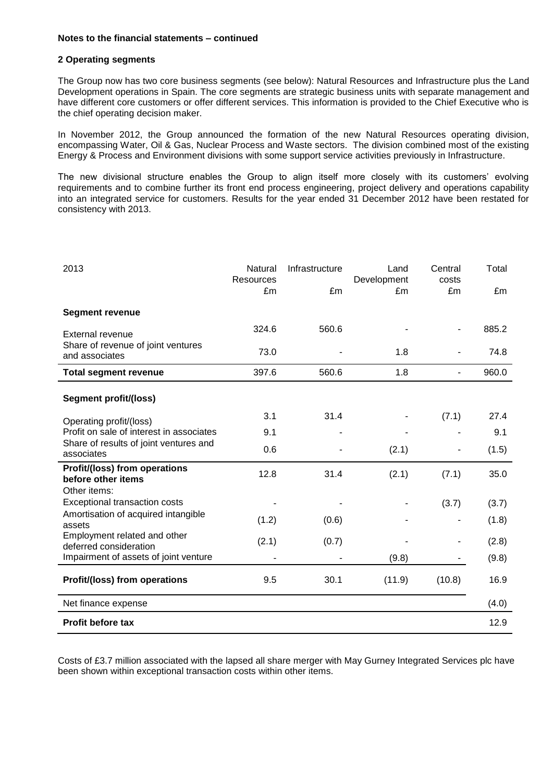#### **Notes to the financial statements – continued**

#### **2 Operating segments**

The Group now has two core business segments (see below): Natural Resources and Infrastructure plus the Land Development operations in Spain. The core segments are strategic business units with separate management and have different core customers or offer different services. This information is provided to the Chief Executive who is the chief operating decision maker.

In November 2012, the Group announced the formation of the new Natural Resources operating division, encompassing Water, Oil & Gas, Nuclear Process and Waste sectors. The division combined most of the existing Energy & Process and Environment divisions with some support service activities previously in Infrastructure.

The new divisional structure enables the Group to align itself more closely with its customers' evolving requirements and to combine further its front end process engineering, project delivery and operations capability into an integrated service for customers. Results for the year ended 31 December 2012 have been restated for consistency with 2013.

| 2013                                                                | Natural<br>Resources | Infrastructure | Land<br>Development | Central<br>costs | Total |
|---------------------------------------------------------------------|----------------------|----------------|---------------------|------------------|-------|
|                                                                     | £m                   | £m             | £m                  | £m               | £m    |
| <b>Segment revenue</b>                                              |                      |                |                     |                  |       |
| External revenue                                                    | 324.6                | 560.6          |                     |                  | 885.2 |
| Share of revenue of joint ventures<br>and associates                | 73.0                 |                | 1.8                 |                  | 74.8  |
| <b>Total segment revenue</b>                                        | 397.6                | 560.6          | 1.8                 | ٠                | 960.0 |
| <b>Segment profit/(loss)</b>                                        |                      |                |                     |                  |       |
| Operating profit/(loss)                                             | 3.1                  | 31.4           |                     | (7.1)            | 27.4  |
| Profit on sale of interest in associates                            | 9.1                  |                |                     |                  | 9.1   |
| Share of results of joint ventures and<br>associates                | 0.6                  |                | (2.1)               |                  | (1.5) |
| Profit/(loss) from operations<br>before other items<br>Other items: | 12.8                 | 31.4           | (2.1)               | (7.1)            | 35.0  |
| Exceptional transaction costs                                       |                      |                |                     | (3.7)            | (3.7) |
| Amortisation of acquired intangible<br>assets                       | (1.2)                | (0.6)          |                     |                  | (1.8) |
| Employment related and other<br>deferred consideration              | (2.1)                | (0.7)          |                     |                  | (2.8) |
| Impairment of assets of joint venture                               |                      |                | (9.8)               |                  | (9.8) |
| Profit/(loss) from operations                                       | 9.5                  | 30.1           | (11.9)              | (10.8)           | 16.9  |
| Net finance expense                                                 |                      |                |                     |                  | (4.0) |
| <b>Profit before tax</b>                                            |                      |                |                     |                  | 12.9  |

Costs of £3.7 million associated with the lapsed all share merger with May Gurney Integrated Services plc have been shown within exceptional transaction costs within other items.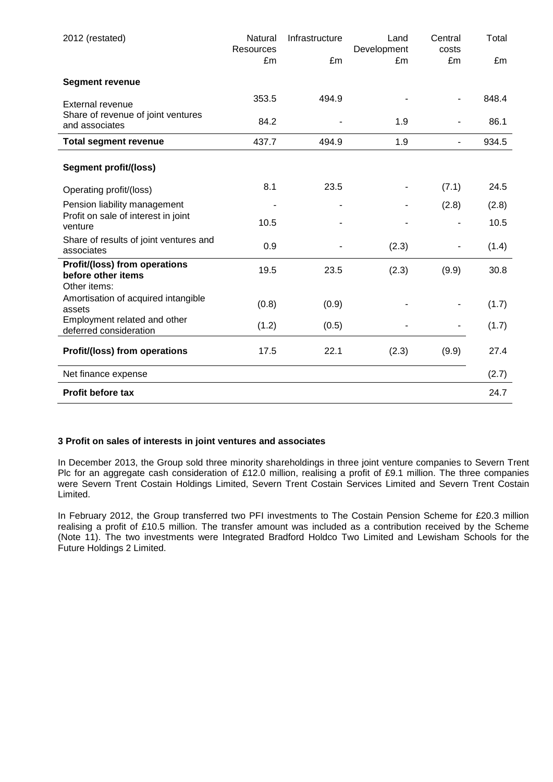| 2012 (restated)                                        | Natural<br><b>Resources</b> | Infrastructure | Land<br>Development | Central<br>costs | Total |
|--------------------------------------------------------|-----------------------------|----------------|---------------------|------------------|-------|
|                                                        | £m                          | £m             | £m                  | £m               | £m    |
| <b>Segment revenue</b>                                 |                             |                |                     |                  |       |
| External revenue                                       | 353.5                       | 494.9          |                     |                  | 848.4 |
| Share of revenue of joint ventures<br>and associates   | 84.2                        |                | 1.9                 |                  | 86.1  |
| <b>Total segment revenue</b>                           | 437.7                       | 494.9          | 1.9                 | $\blacksquare$   | 934.5 |
| <b>Segment profit/(loss)</b>                           |                             |                |                     |                  |       |
| Operating profit/(loss)                                | 8.1                         | 23.5           |                     | (7.1)            | 24.5  |
| Pension liability management                           |                             |                |                     | (2.8)            | (2.8) |
| Profit on sale of interest in joint<br>venture         | 10.5                        |                |                     |                  | 10.5  |
| Share of results of joint ventures and<br>associates   | 0.9                         |                | (2.3)               |                  | (1.4) |
| Profit/(loss) from operations<br>before other items    | 19.5                        | 23.5           | (2.3)               | (9.9)            | 30.8  |
| Other items:                                           |                             |                |                     |                  |       |
| Amortisation of acquired intangible<br>assets          | (0.8)                       | (0.9)          |                     |                  | (1.7) |
| Employment related and other<br>deferred consideration | (1.2)                       | (0.5)          |                     |                  | (1.7) |
| Profit/(loss) from operations                          | 17.5                        | 22.1           | (2.3)               | (9.9)            | 27.4  |
| Net finance expense                                    |                             |                |                     |                  | (2.7) |
| <b>Profit before tax</b>                               |                             |                |                     |                  | 24.7  |

#### **3 Profit on sales of interests in joint ventures and associates**

In December 2013, the Group sold three minority shareholdings in three joint venture companies to Severn Trent Plc for an aggregate cash consideration of £12.0 million, realising a profit of £9.1 million. The three companies were Severn Trent Costain Holdings Limited, Severn Trent Costain Services Limited and Severn Trent Costain Limited.

In February 2012, the Group transferred two PFI investments to The Costain Pension Scheme for £20.3 million realising a profit of £10.5 million. The transfer amount was included as a contribution received by the Scheme (Note 11). The two investments were Integrated Bradford Holdco Two Limited and Lewisham Schools for the Future Holdings 2 Limited.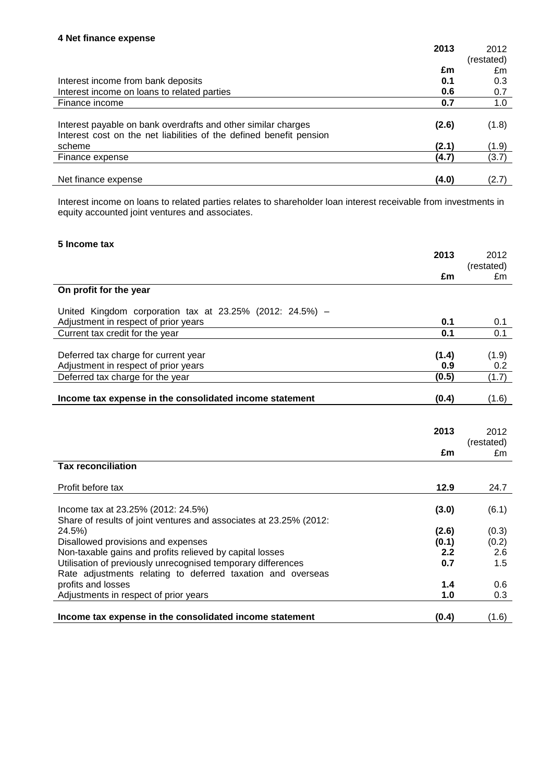|                                                                     | 2013  | 2012       |
|---------------------------------------------------------------------|-------|------------|
|                                                                     |       | (restated) |
|                                                                     | £m    | £m         |
| Interest income from bank deposits                                  | 0.1   | 0.3        |
| Interest income on loans to related parties                         | 0.6   | 0.7        |
| Finance income                                                      | 0.7   | 1.0        |
|                                                                     |       |            |
| Interest payable on bank overdrafts and other similar charges       | (2.6) | (1.8)      |
| Interest cost on the net liabilities of the defined benefit pension |       |            |
| scheme                                                              | (2.1) | (1.9)      |
| Finance expense                                                     | (4.7) | (3.7)      |
|                                                                     |       |            |
| Net finance expense                                                 | (4.0) | (2.7)      |

Interest income on loans to related parties relates to shareholder loan interest receivable from investments in equity accounted joint ventures and associates.

| 5 Income tax                                                       |       |            |
|--------------------------------------------------------------------|-------|------------|
|                                                                    | 2013  | 2012       |
|                                                                    |       | (restated) |
|                                                                    | £m    | £m         |
| On profit for the year                                             |       |            |
| United Kingdom corporation tax at 23.25% (2012: 24.5%) –           |       |            |
| Adjustment in respect of prior years                               | 0.1   | 0.1        |
| Current tax credit for the year                                    | 0.1   | 0.1        |
|                                                                    |       |            |
| Deferred tax charge for current year                               | (1.4) | (1.9)      |
| Adjustment in respect of prior years                               | 0.9   | 0.2        |
| Deferred tax charge for the year                                   | (0.5) | (1.7)      |
|                                                                    |       |            |
| Income tax expense in the consolidated income statement            | (0.4) | (1.6)      |
|                                                                    |       |            |
|                                                                    |       |            |
|                                                                    | 2013  | 2012       |
|                                                                    |       | (restated) |
|                                                                    | £m    | £m         |
| <b>Tax reconciliation</b>                                          |       |            |
| Profit before tax                                                  | 12.9  | 24.7       |
|                                                                    |       |            |
| Income tax at 23.25% (2012: 24.5%)                                 | (3.0) | (6.1)      |
| Share of results of joint ventures and associates at 23.25% (2012: |       |            |
| 24.5%)                                                             | (2.6) | (0.3)      |
| Disallowed provisions and expenses                                 | (0.1) | (0.2)      |
| Non-taxable gains and profits relieved by capital losses           | 2.2   | 2.6        |
| Utilisation of previously unrecognised temporary differences       | 0.7   | 1.5        |
| Rate adjustments relating to deferred taxation and overseas        |       |            |
| profits and losses                                                 | 1.4   | 0.6        |
| Adjustments in respect of prior years                              | 1.0   | 0.3        |
| Income tax expense in the consolidated income statement            | (0.4) | (1.6)      |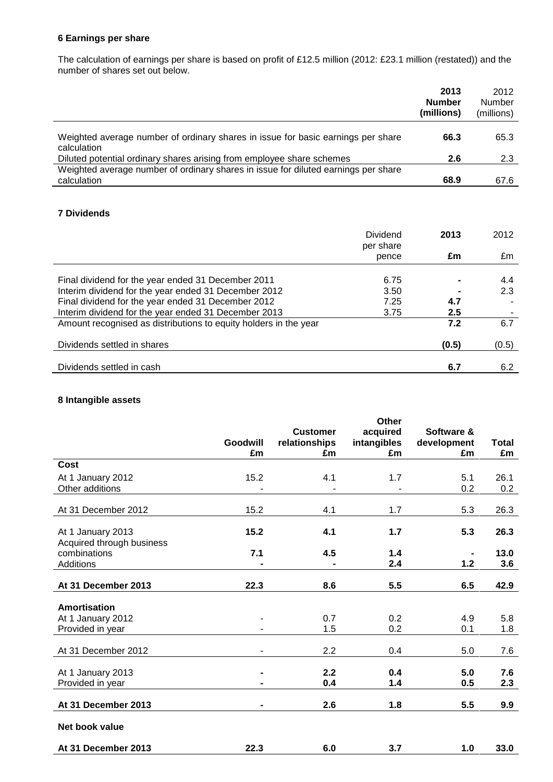# **6 Earnings per share**

The calculation of earnings per share is based on profit of £12.5 million (2012: £23.1 million (restated)) and the number of shares set out below.

|                                                                                                   | 2013<br><b>Number</b><br>(millions) | 2012<br>Number<br>(millions) |
|---------------------------------------------------------------------------------------------------|-------------------------------------|------------------------------|
| Weighted average number of ordinary shares in issue for basic earnings per share<br>calculation   | 66.3                                | 65.3                         |
| Diluted potential ordinary shares arising from employee share schemes                             | 2.6                                 | 2.3                          |
| Weighted average number of ordinary shares in issue for diluted earnings per share<br>calculation | 68.9                                | 67.6                         |

# **7 Dividends**

|                                                                  | Dividend<br>per share | 2013             | 2012  |
|------------------------------------------------------------------|-----------------------|------------------|-------|
|                                                                  | pence                 | £m               | £m    |
| Final dividend for the year ended 31 December 2011               | 6.75                  |                  | 4.4   |
| Interim dividend for the year ended 31 December 2012             | 3.50                  |                  | 2.3   |
| Final dividend for the year ended 31 December 2012               | 7.25                  | 4.7              |       |
| Interim dividend for the year ended 31 December 2013             | 3.75                  | $2.5\phantom{0}$ |       |
| Amount recognised as distributions to equity holders in the year |                       | 7.2              | 6.7   |
| Dividends settled in shares                                      |                       | (0.5)            | (0.5) |
| Dividends settled in cash                                        |                       | 6.7              | 6.2   |

# **8 Intangible assets**

|                                                | <b>Goodwill</b><br>£m | <b>Customer</b><br>relationships<br>£m | <b>Other</b><br>acquired<br>intangibles<br>£m | Software &<br>development<br>£m | <b>Total</b><br>£m |
|------------------------------------------------|-----------------------|----------------------------------------|-----------------------------------------------|---------------------------------|--------------------|
| Cost                                           |                       |                                        |                                               |                                 |                    |
| At 1 January 2012<br>Other additions           | 15.2                  | 4.1                                    | 1.7                                           | 5.1<br>0.2                      | 26.1<br>0.2        |
| At 31 December 2012                            | 15.2                  | 4.1                                    | 1.7                                           | 5.3                             | 26.3               |
| At 1 January 2013<br>Acquired through business | 15.2                  | 4.1                                    | 1.7                                           | 5.3                             | 26.3               |
| combinations<br>Additions                      | 7.1                   | 4.5                                    | 1.4<br>2.4                                    | 1.2                             | 13.0<br>3.6        |
| At 31 December 2013                            | 22.3                  | 8.6                                    | 5.5                                           | 6.5                             | 42.9               |
| <b>Amortisation</b>                            |                       |                                        |                                               |                                 |                    |
| At 1 January 2012<br>Provided in year          |                       | 0.7<br>1.5                             | 0.2<br>0.2                                    | 4.9<br>0.1                      | 5.8<br>1.8         |
| At 31 December 2012                            | -                     | 2.2                                    | 0.4                                           | 5.0                             | 7.6                |
| At 1 January 2013<br>Provided in year          | $\blacksquare$        | 2.2<br>0.4                             | 0.4<br>1.4                                    | 5.0<br>0.5                      | 7.6<br>2.3         |
| At 31 December 2013                            | ۰                     | 2.6                                    | 1.8                                           | 5.5                             | 9.9                |
| Net book value                                 |                       |                                        |                                               |                                 |                    |
| At 31 December 2013                            | 22.3                  | 6.0                                    | 3.7                                           | 1.0                             | 33.0               |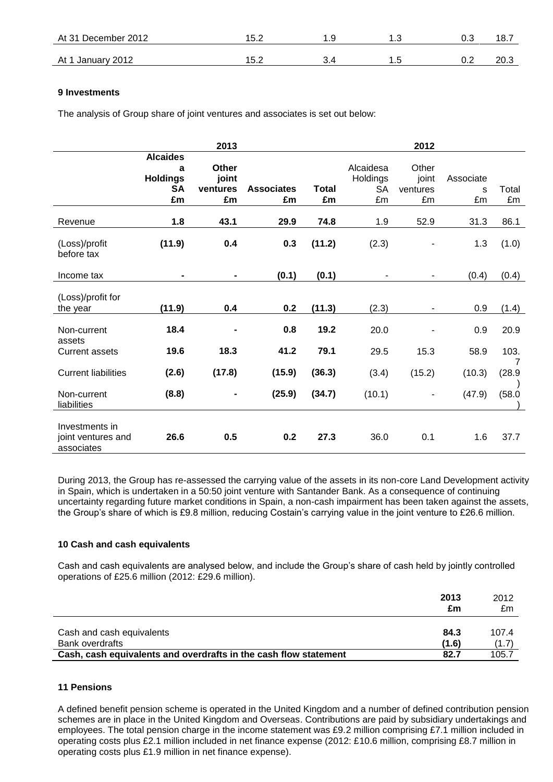| At 31 December 2012 | 15.2 | ں . |    | 18. .        |
|---------------------|------|-----|----|--------------|
| At 1 January 2012   | 15.2 |     | ◡… | ? ∩מ<br>د.∪∠ |

## **9 Investments**

The analysis of Group share of joint ventures and associates is set out below:

|                                                    |                      | 2013           |                   |              |           | 2012                         |           |             |
|----------------------------------------------------|----------------------|----------------|-------------------|--------------|-----------|------------------------------|-----------|-------------|
|                                                    | <b>Alcaides</b><br>a | <b>Other</b>   |                   |              | Alcaidesa | Other                        |           |             |
|                                                    | <b>Holdings</b>      | joint          |                   |              | Holdings  | joint                        | Associate |             |
|                                                    | <b>SA</b>            | ventures       | <b>Associates</b> | <b>Total</b> | <b>SA</b> | ventures                     | S         | Total       |
|                                                    | £m                   | £m             | £m                | £m           | £m        | £m                           | £m        | £m          |
| Revenue                                            | 1.8                  | 43.1           | 29.9              | 74.8         | 1.9       | 52.9                         | 31.3      | 86.1        |
| (Loss)/profit<br>before tax                        | (11.9)               | 0.4            | 0.3               | (11.2)       | (2.3)     |                              | 1.3       | (1.0)       |
| Income tax                                         |                      | $\blacksquare$ | (0.1)             | (0.1)        |           |                              | (0.4)     | (0.4)       |
| (Loss)/profit for<br>the year                      | (11.9)               | 0.4            | 0.2               | (11.3)       | (2.3)     | $\qquad \qquad \blacksquare$ | 0.9       | (1.4)       |
| Non-current<br>assets                              | 18.4                 |                | 0.8               | 19.2         | 20.0      |                              | 0.9       | 20.9        |
| <b>Current assets</b>                              | 19.6                 | 18.3           | 41.2              | 79.1         | 29.5      | 15.3                         | 58.9      | 103.        |
| <b>Current liabilities</b>                         | (2.6)                | (17.8)         | (15.9)            | (36.3)       | (3.4)     | (15.2)                       | (10.3)    | 7<br>(28.9) |
| Non-current<br>liabilities                         | (8.8)                | $\blacksquare$ | (25.9)            | (34.7)       | (10.1)    | ۰                            | (47.9)    | (58.0)      |
| Investments in<br>joint ventures and<br>associates | 26.6                 | 0.5            | 0.2               | 27.3         | 36.0      | 0.1                          | 1.6       | 37.7        |

During 2013, the Group has re-assessed the carrying value of the assets in its non-core Land Development activity in Spain, which is undertaken in a 50:50 joint venture with Santander Bank. As a consequence of continuing uncertainty regarding future market conditions in Spain, a non-cash impairment has been taken against the assets, the Group's share of which is £9.8 million, reducing Costain's carrying value in the joint venture to £26.6 million.

# **10 Cash and cash equivalents**

Cash and cash equivalents are analysed below, and include the Group's share of cash held by jointly controlled operations of £25.6 million (2012: £29.6 million).

|                                                                  | 2013<br>£m    | 2012<br>£m     |
|------------------------------------------------------------------|---------------|----------------|
| Cash and cash equivalents<br><b>Bank overdrafts</b>              | 84.3<br>(1.6) | 107.4<br>(1.7) |
| Cash, cash equivalents and overdrafts in the cash flow statement | 82.7          | 105.7          |

#### **11 Pensions**

A defined benefit pension scheme is operated in the United Kingdom and a number of defined contribution pension schemes are in place in the United Kingdom and Overseas. Contributions are paid by subsidiary undertakings and employees. The total pension charge in the income statement was £9.2 million comprising £7.1 million included in operating costs plus £2.1 million included in net finance expense (2012: £10.6 million, comprising £8.7 million in operating costs plus £1.9 million in net finance expense).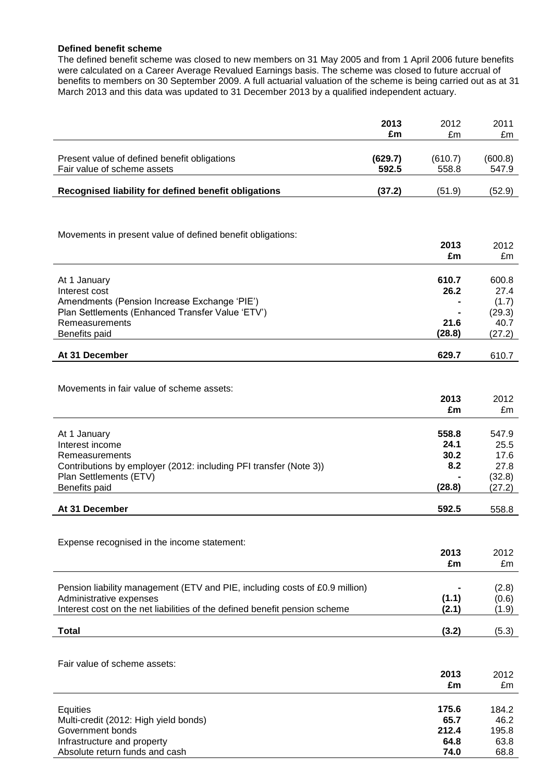#### **Defined benefit scheme**

The defined benefit scheme was closed to new members on 31 May 2005 and from 1 April 2006 future benefits were calculated on a Career Average Revalued Earnings basis. The scheme was closed to future accrual of benefits to members on 30 September 2009. A full actuarial valuation of the scheme is being carried out as at 31 March 2013 and this data was updated to 31 December 2013 by a qualified independent actuary.

|                                                                                                       | 2013<br>£m       | 2012<br>£m       | 2011<br>£m       |
|-------------------------------------------------------------------------------------------------------|------------------|------------------|------------------|
|                                                                                                       |                  |                  |                  |
| Present value of defined benefit obligations<br>Fair value of scheme assets                           | (629.7)<br>592.5 | (610.7)<br>558.8 | (600.8)<br>547.9 |
| Recognised liability for defined benefit obligations                                                  | (37.2)           | (51.9)           | (52.9)           |
|                                                                                                       |                  |                  |                  |
|                                                                                                       |                  |                  |                  |
| Movements in present value of defined benefit obligations:                                            |                  |                  |                  |
|                                                                                                       |                  | 2013<br>£m       | 2012<br>£m       |
|                                                                                                       |                  |                  |                  |
| At 1 January                                                                                          |                  | 610.7            | 600.8            |
| Interest cost                                                                                         |                  | 26.2             | 27.4             |
| Amendments (Pension Increase Exchange 'PIE')<br>Plan Settlements (Enhanced Transfer Value 'ETV')      |                  |                  | (1.7)<br>(29.3)  |
| Remeasurements                                                                                        |                  | 21.6             | 40.7             |
| Benefits paid                                                                                         |                  | (28.8)           | (27.2)           |
| At 31 December                                                                                        |                  | 629.7            | 610.7            |
|                                                                                                       |                  |                  |                  |
| Movements in fair value of scheme assets:                                                             |                  |                  |                  |
|                                                                                                       |                  | 2013             | 2012             |
|                                                                                                       |                  | £m               | £m               |
|                                                                                                       |                  | 558.8            | 547.9            |
| At 1 January<br>Interest income                                                                       |                  | 24.1             | 25.5             |
| Remeasurements                                                                                        |                  | 30.2             | 17.6             |
| Contributions by employer (2012: including PFI transfer (Note 3))                                     |                  | 8.2              | 27.8             |
| Plan Settlements (ETV)<br>Benefits paid                                                               |                  | (28.8)           | (32.8)<br>(27.2) |
|                                                                                                       |                  |                  |                  |
| At 31 December                                                                                        |                  | 592.5            | 558.8            |
|                                                                                                       |                  |                  |                  |
| Expense recognised in the income statement:                                                           |                  |                  |                  |
|                                                                                                       |                  | 2013<br>£m       | 2012<br>£m       |
|                                                                                                       |                  |                  |                  |
| Pension liability management (ETV and PIE, including costs of £0.9 million)                           |                  |                  | (2.8)            |
| Administrative expenses<br>Interest cost on the net liabilities of the defined benefit pension scheme |                  | (1.1)<br>(2.1)   | (0.6)<br>(1.9)   |
|                                                                                                       |                  |                  |                  |
| <b>Total</b>                                                                                          |                  | (3.2)            | (5.3)            |
|                                                                                                       |                  |                  |                  |
| Fair value of scheme assets:                                                                          |                  |                  |                  |
|                                                                                                       |                  | 2013<br>£m       | 2012<br>£m       |
|                                                                                                       |                  |                  |                  |
| Equities                                                                                              |                  | 175.6            | 184.2            |
| Multi-credit (2012: High yield bonds)                                                                 |                  | 65.7             | 46.2             |
| Government bonds<br>Infrastructure and property                                                       |                  | 212.4<br>64.8    | 195.8<br>63.8    |
| Absolute return funds and cash                                                                        |                  | 74.0             | 68.8             |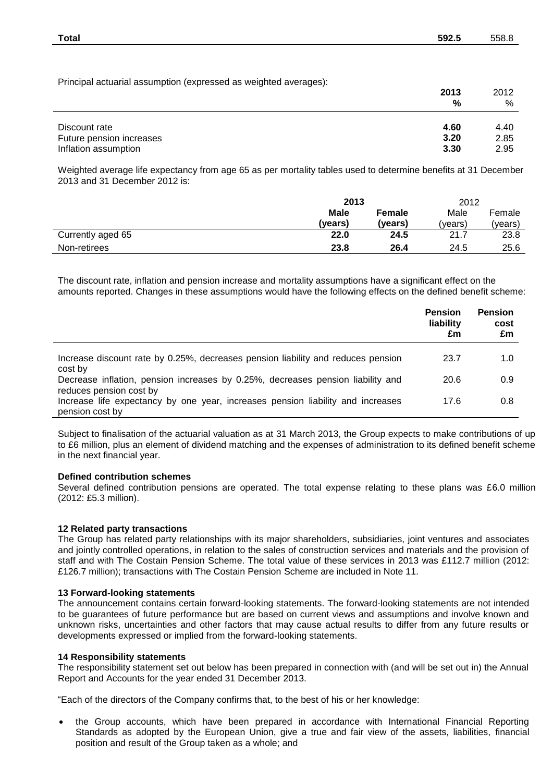| <b>Total</b>                                                     | 592.5 | 558.8 |
|------------------------------------------------------------------|-------|-------|
|                                                                  |       |       |
| Principal actuarial assumption (expressed as weighted averages): | 2013  | 2012  |
|                                                                  | %     | %     |
| Discount rate                                                    | 4.60  | 4.40  |
| Future pension increases                                         | 3.20  | 2.85  |

Weighted average life expectancy from age 65 as per mortality tables used to determine benefits at 31 December 2013 and 31 December 2012 is:

Inflation assumption **3.30** 2.95

|                   | 2013        |         | 2012   |         |
|-------------------|-------------|---------|--------|---------|
|                   | <b>Male</b> | Female  | Male   | Female  |
|                   | (vears)     | (vears) | (years | (years) |
| Currently aged 65 | 22.0        | 24.5    | 21.7   | 23.8    |
| Non-retirees      | 23.8        | 26.4    | 24.5   | 25.6    |

The discount rate, inflation and pension increase and mortality assumptions have a significant effect on the amounts reported. Changes in these assumptions would have the following effects on the defined benefit scheme:

|                                                                                                            | <b>Pension</b><br>liability<br>£m | <b>Pension</b><br>cost<br>£m |
|------------------------------------------------------------------------------------------------------------|-----------------------------------|------------------------------|
| Increase discount rate by 0.25%, decreases pension liability and reduces pension<br>cost by                | 23.7                              | 1.0                          |
| Decrease inflation, pension increases by 0.25%, decreases pension liability and<br>reduces pension cost by | 20.6                              | 0.9                          |
| Increase life expectancy by one year, increases pension liability and increases<br>pension cost by         | 17.6                              | 0.8                          |

Subject to finalisation of the actuarial valuation as at 31 March 2013, the Group expects to make contributions of up to £6 million, plus an element of dividend matching and the expenses of administration to its defined benefit scheme in the next financial year.

#### **Defined contribution schemes**

Several defined contribution pensions are operated. The total expense relating to these plans was £6.0 million (2012: £5.3 million).

#### **12 Related party transactions**

The Group has related party relationships with its major shareholders, subsidiaries, joint ventures and associates and jointly controlled operations, in relation to the sales of construction services and materials and the provision of staff and with The Costain Pension Scheme. The total value of these services in 2013 was £112.7 million (2012: £126.7 million); transactions with The Costain Pension Scheme are included in Note 11.

#### **13 Forward-looking statements**

The announcement contains certain forward-looking statements. The forward-looking statements are not intended to be guarantees of future performance but are based on current views and assumptions and involve known and unknown risks, uncertainties and other factors that may cause actual results to differ from any future results or developments expressed or implied from the forward-looking statements.

#### **14 Responsibility statements**

The responsibility statement set out below has been prepared in connection with (and will be set out in) the Annual Report and Accounts for the year ended 31 December 2013.

"Each of the directors of the Company confirms that, to the best of his or her knowledge:

 the Group accounts, which have been prepared in accordance with International Financial Reporting Standards as adopted by the European Union, give a true and fair view of the assets, liabilities, financial position and result of the Group taken as a whole; and